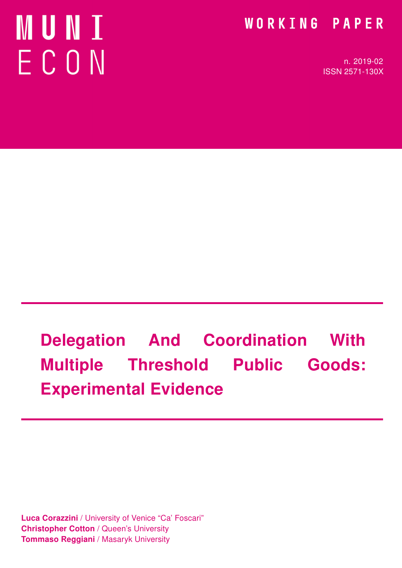# MUNI ECON

### WORKING PAPER

n. 2019-02 ISSN 2571-130X

# Delegation And Coordination With Multiple Threshold Public Goods: Experimental Evidence

Luca Corazzini / University of Venice "Ca' Foscari" Christopher Cotton / Queen's University **Tommaso Reggiani** / Masaryk University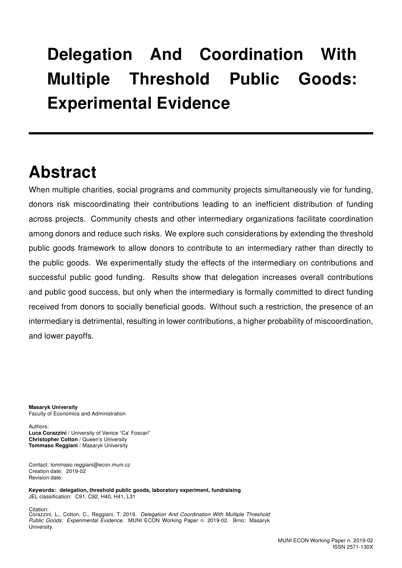## Delegation And Coordination With Multiple Threshold Public Goods: Experimental Evidence

### Abstract

When multiple charities, social programs and community projects simultaneously vie for funding. donors risk miscoordinating their contributions leading to an inefficient distribution of funding across projects. Community chests and other intermediary organizations facilitate coordination among donors and reduce such risks. We explore such considerations by extending the threshold public goods framework to allow donors to contribute to an intermediary rather than directly to the public goods. We experimentally study the effects of the intermediary on contributions and successful public good funding. Results show that delegation increases overall contributions and public good success, but only when the intermediary is formally committed to direct funding received from donors to socially beneficial goods. Without such a restriction, the presence of an intermediary is detrimental, resulting in lower contributions, a higher probability of miscoordination, and lower payoffs.

Masaryk University Faculty of Economics and Administration

Authors: Luca Corazzini / University of Venice "Ca' Foscari" Christopher Cotton / Queen's University Tommaso Reggiani / Masaryk University

Contact: tommaso.reggiani@econ.muni.cz Creation date: 2019-02 Revision date:

Keywords: delegation, threshold public goods, laboratory experiment, fundraising JEL classification: C91, C92, H40, H41, L31

Citation: Corazzini, L., Cotton, C., Reggiani, T. 2019. Delegation And Coordination With Multiple Threshold Public Goods: Experimental Evidence. MUNI ECON Working Paper n. 2019-02. Brno: Masaryk University.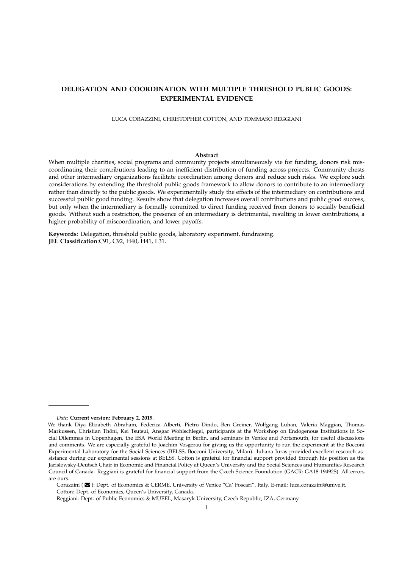#### **DELEGATION AND COORDINATION WITH MULTIPLE THRESHOLD PUBLIC GOODS: EXPERIMENTAL EVIDENCE**

LUCA CORAZZINI, CHRISTOPHER COTTON, AND TOMMASO REGGIANI

#### **Abstract**

When multiple charities, social programs and community projects simultaneously vie for funding, donors risk miscoordinating their contributions leading to an inefficient distribution of funding across projects. Community chests and other intermediary organizations facilitate coordination among donors and reduce such risks. We explore such considerations by extending the threshold public goods framework to allow donors to contribute to an intermediary rather than directly to the public goods. We experimentally study the effects of the intermediary on contributions and successful public good funding. Results show that delegation increases overall contributions and public good success, but only when the intermediary is formally committed to direct funding received from donors to socially beneficial goods. Without such a restriction, the presence of an intermediary is detrimental, resulting in lower contributions, a higher probability of miscoordination, and lower payoffs.

**Keywords**: Delegation, threshold public goods, laboratory experiment, fundraising. **JEL Classification**:C91, C92, H40, H41, L31.

*Date*: **Current version: February 2, 2019**.

We thank Diya Elizabeth Abraham, Federica Alberti, Pietro Dindo, Ben Greiner, Wolfgang Luhan, Valeria Maggian, Thomas Markussen, Christian Thöni, Kei Tsutsui, Ansgar Wohlschlegel, participants at the Workshop on Endogenous Institutions in Social Dilemmas in Copenhagen, the ESA World Meeting in Berlin, and seminars in Venice and Portsmouth, for useful discussions and comments. We are especially grateful to Joachim Vosgerau for giving us the opportunity to run the experiment at the Bocconi Experimental Laboratory for the Social Sciences (BELSS, Bocconi University, Milan). Iuliana Iuras provided excellent research assistance during our experimental sessions at BELSS. Cotton is grateful for financial support provided through his position as the Jarislowsky-Deutsch Chair in Economic and Financial Policy at Queen's University and the Social Sciences and Humanities Research Council of Canada. Reggiani is grateful for financial support from the Czech Science Foundation (GACR: GA18-19492S). All errors are ours.

Corazzini ( $\blacktriangleright$ ): Dept. of Economics & CERME, University of Venice "Ca' Foscari", Italy. E-mail: luca.corazzini@unive.it. Cotton: Dept. of Economics, Queen's University, Canada.

Reggiani: Dept. of Public Economics & MUEEL, Masaryk University, Czech Republic; IZA, Germany.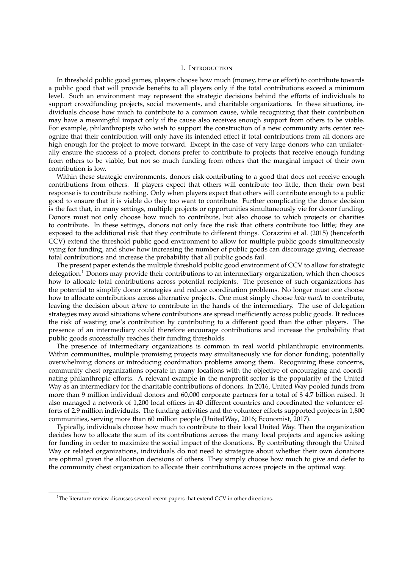#### 1. Introduction

In threshold public good games, players choose how much (money, time or effort) to contribute towards a public good that will provide benefits to all players only if the total contributions exceed a minimum level. Such an environment may represent the strategic decisions behind the efforts of individuals to support crowdfunding projects, social movements, and charitable organizations. In these situations, individuals choose how much to contribute to a common cause, while recognizing that their contribution may have a meaningful impact only if the cause also receives enough support from others to be viable. For example, philanthropists who wish to support the construction of a new community arts center recognize that their contribution will only have its intended effect if total contributions from all donors are high enough for the project to move forward. Except in the case of very large donors who can unilaterally ensure the success of a project, donors prefer to contribute to projects that receive enough funding from others to be viable, but not so much funding from others that the marginal impact of their own contribution is low.

Within these strategic environments, donors risk contributing to a good that does not receive enough contributions from others. If players expect that others will contribute too little, then their own best response is to contribute nothing. Only when players expect that others will contribute enough to a public good to ensure that it is viable do they too want to contribute. Further complicating the donor decision is the fact that, in many settings, multiple projects or opportunities simultaneously vie for donor funding. Donors must not only choose how much to contribute, but also choose to which projects or charities to contribute. In these settings, donors not only face the risk that others contribute too little; they are exposed to the additional risk that they contribute to different things. Corazzini et al. (2015) (henceforth CCV) extend the threshold public good environment to allow for multiple public goods simultaneously vying for funding, and show how increasing the number of public goods can discourage giving, decrease total contributions and increase the probability that all public goods fail.

The present paper extends the multiple threshold public good environment of CCV to allow for strategic delegation.<sup>1</sup> Donors may provide their contributions to an intermediary organization, which then chooses how to allocate total contributions across potential recipients. The presence of such organizations has the potential to simplify donor strategies and reduce coordination problems. No longer must one choose how to allocate contributions across alternative projects. One must simply choose *how much* to contribute, leaving the decision about *where* to contribute in the hands of the intermediary. The use of delegation strategies may avoid situations where contributions are spread inefficiently across public goods. It reduces the risk of wasting one's contribution by contributing to a different good than the other players. The presence of an intermediary could therefore encourage contributions and increase the probability that public goods successfully reaches their funding thresholds.

The presence of intermediary organizations is common in real world philanthropic environments. Within communities, multiple promising projects may simultaneously vie for donor funding, potentially overwhelming donors or introducing coordination problems among them. Recognizing these concerns, community chest organizations operate in many locations with the objective of encouraging and coordinating philanthropic efforts. A relevant example in the nonprofit sector is the popularity of the United Way as an intermediary for the charitable contributions of donors. In 2016, United Way pooled funds from more than 9 million individual donors and 60,000 corporate partners for a total of \$ 4.7 billion raised. It also managed a network of 1,200 local offices in 40 different countries and coordinated the volunteer efforts of 2.9 million individuals. The funding activities and the volunteer efforts supported projects in 1,800 communities, serving more than 60 million people (UnitedWay, 2016; Economist, 2017).

Typically, individuals choose how much to contribute to their local United Way. Then the organization decides how to allocate the sum of its contributions across the many local projects and agencies asking for funding in order to maximize the social impact of the donations. By contributing through the United Way or related organizations, individuals do not need to strategize about whether their own donations are optimal given the allocation decisions of others. They simply choose how much to give and defer to the community chest organization to allocate their contributions across projects in the optimal way.

<sup>&</sup>lt;sup>1</sup>The literature review discusses several recent papers that extend CCV in other directions.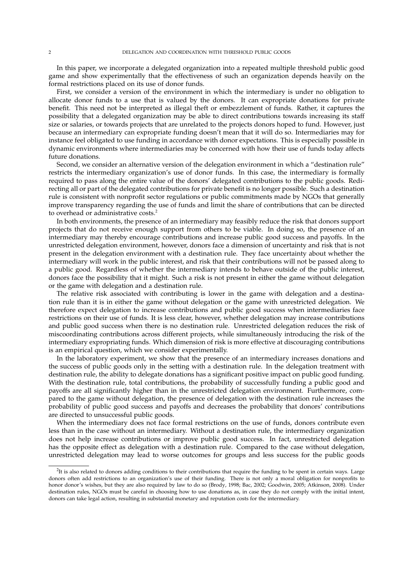In this paper, we incorporate a delegated organization into a repeated multiple threshold public good game and show experimentally that the effectiveness of such an organization depends heavily on the formal restrictions placed on its use of donor funds.

First, we consider a version of the environment in which the intermediary is under no obligation to allocate donor funds to a use that is valued by the donors. It can expropriate donations for private benefit. This need not be interpreted as illegal theft or embezzlement of funds. Rather, it captures the possibility that a delegated organization may be able to direct contributions towards increasing its staff size or salaries, or towards projects that are unrelated to the projects donors hoped to fund. However, just because an intermediary can expropriate funding doesn't mean that it will do so. Intermediaries may for instance feel obligated to use funding in accordance with donor expectations. This is especially possible in dynamic environments where intermediaries may be concerned with how their use of funds today affects future donations.

Second, we consider an alternative version of the delegation environment in which a "destination rule" restricts the intermediary organization's use of donor funds. In this case, the intermediary is formally required to pass along the entire value of the donors' delegated contributions to the public goods. Redirecting all or part of the delegated contributions for private benefit is no longer possible. Such a destination rule is consistent with nonprofit sector regulations or public commitments made by NGOs that generally improve transparency regarding the use of funds and limit the share of contributions that can be directed to overhead or administrative costs.<sup>2</sup>

In both environments, the presence of an intermediary may feasibly reduce the risk that donors support projects that do not receive enough support from others to be viable. In doing so, the presence of an intermediary may thereby encourage contributions and increase public good success and payoffs. In the unrestricted delegation environment, however, donors face a dimension of uncertainty and risk that is not present in the delegation environment with a destination rule. They face uncertainty about whether the intermediary will work in the public interest, and risk that their contributions will not be passed along to a public good. Regardless of whether the intermediary intends to behave outside of the public interest, donors face the possibility that it might. Such a risk is not present in either the game without delegation or the game with delegation and a destination rule.

The relative risk associated with contributing is lower in the game with delegation and a destination rule than it is in either the game without delegation or the game with unrestricted delegation. We therefore expect delegation to increase contributions and public good success when intermediaries face restrictions on their use of funds. It is less clear, however, whether delegation may increase contributions and public good success when there is no destination rule. Unrestricted delegation reduces the risk of miscoordinating contributions across different projects, while simultaneously introducing the risk of the intermediary expropriating funds. Which dimension of risk is more effective at discouraging contributions is an empirical question, which we consider experimentally.

In the laboratory experiment, we show that the presence of an intermediary increases donations and the success of public goods only in the setting with a destination rule. In the delegation treatment with destination rule, the ability to delegate donations has a significant positive impact on public good funding. With the destination rule, total contributions, the probability of successfully funding a public good and payoffs are all significantly higher than in the unrestricted delegation environment. Furthermore, compared to the game without delegation, the presence of delegation with the destination rule increases the probability of public good success and payoffs and decreases the probability that donors' contributions are directed to unsuccessful public goods.

When the intermediary does not face formal restrictions on the use of funds, donors contribute even less than in the case without an intermediary. Without a destination rule, the intermediary organization does not help increase contributions or improve public good success. In fact, unrestricted delegation has the opposite effect as delegation with a destination rule. Compared to the case without delegation, unrestricted delegation may lead to worse outcomes for groups and less success for the public goods

 ${}^{2}$ It is also related to donors adding conditions to their contributions that require the funding to be spent in certain ways. Large donors often add restrictions to an organization's use of their funding. There is not only a moral obligation for nonprofits to honor donor's wishes, but they are also required by law to do so (Brody, 1998; Bac, 2002; Goodwin, 2005; Atkinson, 2008). Under destination rules, NGOs must be careful in choosing how to use donations as, in case they do not comply with the initial intent, donors can take legal action, resulting in substantial monetary and reputation costs for the intermediary.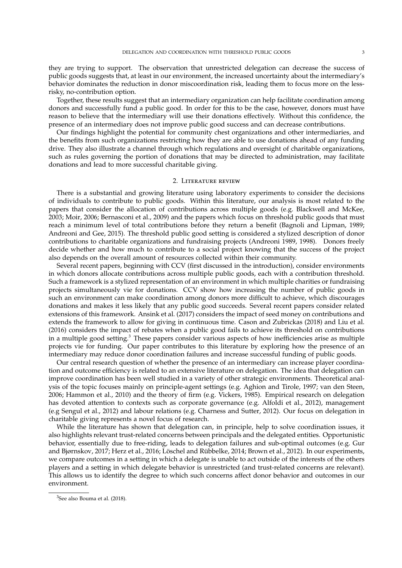they are trying to support. The observation that unrestricted delegation can decrease the success of public goods suggests that, at least in our environment, the increased uncertainty about the intermediary's behavior dominates the reduction in donor miscoordination risk, leading them to focus more on the lessrisky, no-contribution option.

Together, these results suggest that an intermediary organization can help facilitate coordination among donors and successfully fund a public good. In order for this to be the case, however, donors must have reason to believe that the intermediary will use their donations effectively. Without this confidence, the presence of an intermediary does not improve public good success and can decrease contributions.

Our findings highlight the potential for community chest organizations and other intermediaries, and the benefits from such organizations restricting how they are able to use donations ahead of any funding drive. They also illustrate a channel through which regulations and oversight of charitable organizations, such as rules governing the portion of donations that may be directed to administration, may facilitate donations and lead to more successful charitable giving.

#### 2. Literature review

There is a substantial and growing literature using laboratory experiments to consider the decisions of individuals to contribute to public goods. Within this literature, our analysis is most related to the papers that consider the allocation of contributions across multiple goods (e.g. Blackwell and McKee, 2003; Moir, 2006; Bernasconi et al., 2009) and the papers which focus on threshold public goods that must reach a minimum level of total contributions before they return a benefit (Bagnoli and Lipman, 1989; Andreoni and Gee, 2015). The threshold public good setting is considered a stylized description of donor contributions to charitable organizations and fundraising projects (Andreoni 1989, 1998). Donors freely decide whether and how much to contribute to a social project knowing that the success of the project also depends on the overall amount of resources collected within their community.

Several recent papers, beginning with CCV (first discussed in the introduction), consider environments in which donors allocate contributions across multiple public goods, each with a contribution threshold. Such a framework is a stylized representation of an environment in which multiple charities or fundraising projects simultaneously vie for donations. CCV show how increasing the number of public goods in such an environment can make coordination among donors more difficult to achieve, which discourages donations and makes it less likely that any public good succeeds. Several recent papers consider related extensions of this framework. Ansink et al. (2017) considers the impact of seed money on contributions and extends the framework to allow for giving in continuous time. Cason and Zubrickas (2018) and Liu et al. (2016) considers the impact of rebates when a public good fails to achieve its threshold on contributions in a multiple good setting.<sup>3</sup> These papers consider various aspects of how inefficiencies arise as multiple projects vie for funding. Our paper contributes to this literature by exploring how the presence of an intermediary may reduce donor coordination failures and increase successful funding of public goods.

Our central research question of whether the presence of an intermediary can increase player coordination and outcome efficiency is related to an extensive literature on delegation. The idea that delegation can improve coordination has been well studied in a variety of other strategic environments. Theoretical analysis of the topic focuses mainly on principle-agent settings (e.g. Aghion and Tirole, 1997; van den Steen, 2006; Hammon et al., 2010) and the theory of firm (e.g. Vickers, 1985). Empirical research on delegation has devoted attention to contexts such as corporate governance (e.g. Alfoldi et al., 2012), management (e.g Sengul et al., 2012) and labour relations (e.g. Charness and Sutter, 2012). Our focus on delegation in charitable giving represents a novel focus of research.

While the literature has shown that delegation can, in principle, help to solve coordination issues, it also highlights relevant trust-related concerns between principals and the delegated entities. Opportunistic behavior, essentially due to free-riding, leads to delegation failures and sub-optimal outcomes (e.g. Gur and Bjørnskov, 2017; Herz et al., 2016; Löschel and Rübbelke, 2014; Brown et al., 2012). In our experiments, we compare outcomes in a setting in which a delegate is unable to act outside of the interests of the others players and a setting in which delegate behavior is unrestricted (and trust-related concerns are relevant). This allows us to identify the degree to which such concerns affect donor behavior and outcomes in our environment.

<sup>&</sup>lt;sup>3</sup>See also Bouma et al. (2018).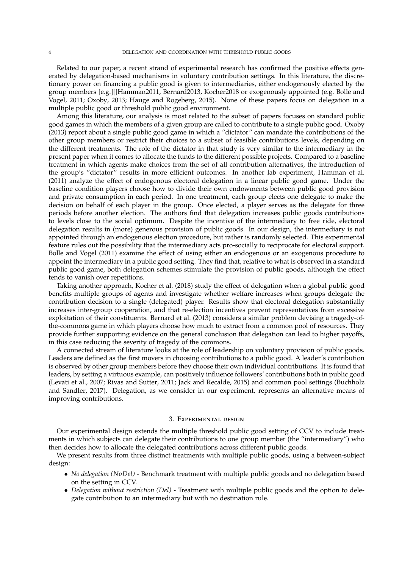Related to our paper, a recent strand of experimental research has confirmed the positive effects generated by delegation-based mechanisms in voluntary contribution settings. In this literature, the discretionary power on financing a public good is given to intermediaries, either endogenously elected by the group members [e.g.][]Hamman2011, Bernard2013, Kocher2018 or exogenously appointed (e.g. Bolle and Vogel, 2011; Oxoby, 2013; Hauge and Rogeberg, 2015). None of these papers focus on delegation in a multiple public good or threshold public good environment.

Among this literature, our analysis is most related to the subset of papers focuses on standard public good games in which the members of a given group are called to contribute to a single public good. Oxoby (2013) report about a single public good game in which a "dictator" can mandate the contributions of the other group members or restrict their choices to a subset of feasible contributions levels, depending on the different treatments. The role of the dictator in that study is very similar to the intermediary in the present paper when it comes to allocate the funds to the different possible projects. Compared to a baseline treatment in which agents make choices from the set of all contribution alternatives, the introduction of the group's "dictator" results in more efficient outcomes. In another lab experiment, Hamman et al. (2011) analyze the effect of endogenous electoral delegation in a linear public good game. Under the baseline condition players choose how to divide their own endowments between public good provision and private consumption in each period. In one treatment, each group elects one delegate to make the decision on behalf of each player in the group. Once elected, a player serves as the delegate for three periods before another election. The authors find that delegation increases public goods contributions to levels close to the social optimum. Despite the incentive of the intermediary to free ride, electoral delegation results in (more) generous provision of public goods. In our design, the intermediary is not appointed through an endogenous election procedure, but rather is randomly selected. This experimental feature rules out the possibility that the intermediary acts pro-socially to reciprocate for electoral support. Bolle and Vogel (2011) examine the effect of using either an endogenous or an exogenous procedure to appoint the intermediary in a public good setting. They find that, relative to what is observed in a standard public good game, both delegation schemes stimulate the provision of public goods, although the effect tends to vanish over repetitions.

Taking another approach, Kocher et al. (2018) study the effect of delegation when a global public good benefits multiple groups of agents and investigate whether welfare increases when groups delegate the contribution decision to a single (delegated) player. Results show that electoral delegation substantially increases inter-group cooperation, and that re-election incentives prevent representatives from excessive exploitation of their constituents. Bernard et al. (2013) considers a similar problem devising a tragedy-ofthe-commons game in which players choose how much to extract from a common pool of resources. They provide further supporting evidence on the general conclusion that delegation can lead to higher payoffs, in this case reducing the severity of tragedy of the commons.

A connected stream of literature looks at the role of leadership on voluntary provision of public goods. Leaders are defined as the first movers in choosing contributions to a public good. A leader's contribution is observed by other group members before they choose their own individual contributions. It is found that leaders, by setting a virtuous example, can positively influence followers' contributions both in public good (Levati et al., 2007; Rivas and Sutter, 2011; Jack and Recalde, 2015) and common pool settings (Buchholz and Sandler, 2017). Delegation, as we consider in our experiment, represents an alternative means of improving contributions.

#### 3. Experimental design

Our experimental design extends the multiple threshold public good setting of CCV to include treatments in which subjects can delegate their contributions to one group member (the "intermediary") who then decides how to allocate the delegated contributions across different public goods.

We present results from three distinct treatments with multiple public goods, using a between-subject design:

- *No delegation (NoDel)* Benchmark treatment with multiple public goods and no delegation based on the setting in CCV.
- *Delegation without restriction (Del)* Treatment with multiple public goods and the option to delegate contribution to an intermediary but with no destination rule.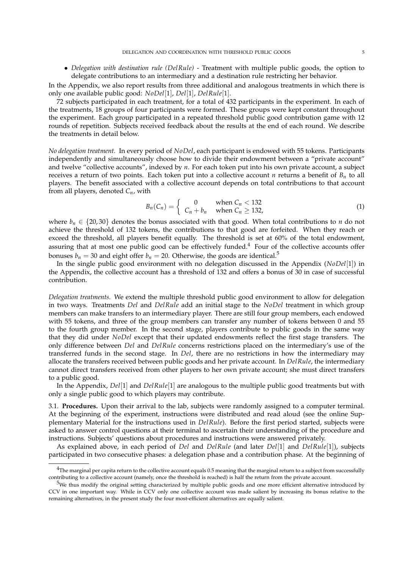• *Delegation with destination rule (DelRule)* - Treatment with multiple public goods, the option to delegate contributions to an intermediary and a destination rule restricting her behavior.

In the Appendix, we also report results from three additional and analogous treatments in which there is only one available public good: *NoDel*[1], *Del*[1], *DelRule*[1].

72 subjects participated in each treatment, for a total of 432 participants in the experiment. In each of the treatments, 18 groups of four participants were formed. These groups were kept constant throughout the experiment. Each group participated in a repeated threshold public good contribution game with 12 rounds of repetition. Subjects received feedback about the results at the end of each round. We describe the treatments in detail below.

*No delegation treatment.* In every period of *NoDel*, each participant is endowed with 55 tokens. Participants independently and simultaneously choose how to divide their endowment between a "private account" and twelve "collective accounts", indexed by *n*. For each token put into his own private account, a subject receives a return of two points. Each token put into a collective account *n* returns a benefit of  $B_n$  to all players. The benefit associated with a collective account depends on total contributions to that account from all players, denoted *Cn*, with

$$
B_n(C_n) = \begin{cases} 0 & \text{when } C_n < 132 \\ C_n + b_n & \text{when } C_n \ge 132, \end{cases} \tag{1}
$$

where  $b_n \in \{20, 30\}$  denotes the bonus associated with that good. When total contributions to *n* do not achieve the threshold of 132 tokens, the contributions to that good are forfeited. When they reach or exceed the threshold, all players benefit equally. The threshold is set at 60% of the total endowment, assuring that at most one public good can be effectively funded. $4$  Four of the collective accounts offer bonuses  $b_n = 30$  and eight offer  $b_n = 20$ . Otherwise, the goods are identical.<sup>5</sup>

In the single public good environment with no delegation discussed in the Appendix (*NoDel*[1]) in the Appendix, the collective account has a threshold of 132 and offers a bonus of 30 in case of successful contribution.

*Delegation treatments.* We extend the multiple threshold public good environment to allow for delegation in two ways. Treatments *Del* and *DelRule* add an initial stage to the *NoDel* treatment in which group members can make transfers to an intermediary player. There are still four group members, each endowed with 55 tokens, and three of the group members can transfer any number of tokens between 0 and 55 to the fourth group member. In the second stage, players contribute to public goods in the same way that they did under *NoDel* except that their updated endowments reflect the first stage transfers. The only difference between *Del* and *DelRule* concerns restrictions placed on the intermediary's use of the transferred funds in the second stage. In *Del*, there are no restrictions in how the intermediary may allocate the transfers received between public goods and her private account. In *DelRule*, the intermediary cannot direct transfers received from other players to her own private account; she must direct transfers to a public good.

In the Appendix, *Del*[1] and *DelRule*[1] are analogous to the multiple public good treatments but with only a single public good to which players may contribute.

3.1. **Procedures.** Upon their arrival to the lab, subjects were randomly assigned to a computer terminal. At the beginning of the experiment, instructions were distributed and read aloud (see the online Supplementary Material for the instructions used in *DelRule*). Before the first period started, subjects were asked to answer control questions at their terminal to ascertain their understanding of the procedure and instructions. Subjects' questions about procedures and instructions were answered privately.

As explained above, in each period of *Del* and *DelRule* (and later *Del*[1] and *DelRule*[1]), subjects participated in two consecutive phases: a delegation phase and a contribution phase. At the beginning of

 $4$ The marginal per capita return to the collective account equals 0.5 meaning that the marginal return to a subject from successfully contributing to a collective account (namely, once the threshold is reached) is half the return from the private account.

<sup>&</sup>lt;sup>5</sup>We thus modify the original setting characterized by multiple public goods and one more efficient alternative introduced by CCV in one important way. While in CCV only one collective account was made salient by increasing its bonus relative to the remaining alternatives, in the present study the four most-efficient alternatives are equally salient.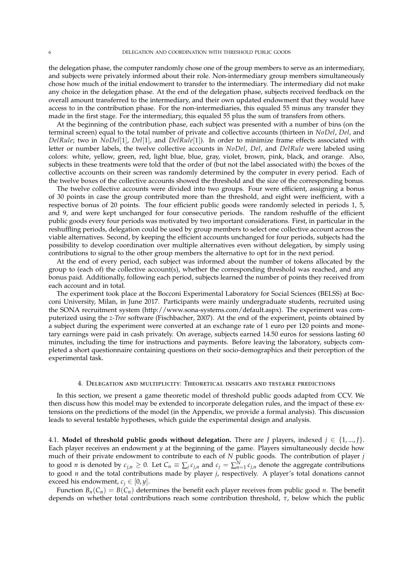the delegation phase, the computer randomly chose one of the group members to serve as an intermediary, and subjects were privately informed about their role. Non-intermediary group members simultaneously chose how much of the initial endowment to transfer to the intermediary. The intermediary did not make any choice in the delegation phase. At the end of the delegation phase, subjects received feedback on the overall amount transferred to the intermediary, and their own updated endowment that they would have access to in the contribution phase. For the non-intermediaries, this equaled 55 minus any transfer they made in the first stage. For the intermediary, this equaled 55 plus the sum of transfers from others.

At the beginning of the contribution phase, each subject was presented with a number of bins (on the terminal screen) equal to the total number of private and collective accounts (thirteen in *NoDel*, *Del*, and *DelRule*; two in *NoDel*[1], *Del*[1], and *DelRule*[1]). In order to minimize frame effects associated with letter or number labels, the twelve collective accounts in *NoDel*, *Del*, and *DelRule* were labeled using colors: white, yellow, green, red, light blue, blue, gray, violet, brown, pink, black, and orange. Also, subjects in these treatments were told that the order of (but not the label associated with) the boxes of the collective accounts on their screen was randomly determined by the computer in every period. Each of the twelve boxes of the collective accounts showed the threshold and the size of the corresponding bonus.

The twelve collective accounts were divided into two groups. Four were efficient, assigning a bonus of 30 points in case the group contributed more than the threshold, and eight were inefficient, with a respective bonus of 20 points. The four efficient public goods were randomly selected in periods 1, 5, and 9, and were kept unchanged for four consecutive periods. The random reshuffle of the efficient public goods every four periods was motivated by two important considerations. First, in particular in the reshuffling periods, delegation could be used by group members to select one collective account across the viable alternatives. Second, by keeping the efficient accounts unchanged for four periods, subjects had the possibility to develop coordination over multiple alternatives even without delegation, by simply using contributions to signal to the other group members the alternative to opt for in the next period.

At the end of every period, each subject was informed about the number of tokens allocated by the group to (each of) the collective account(s), whether the corresponding threshold was reached, and any bonus paid. Additionally, following each period, subjects learned the number of points they received from each account and in total.

The experiment took place at the Bocconi Experimental Laboratory for Social Sciences (BELSS) at Bocconi University, Milan, in June 2017. Participants were mainly undergraduate students, recruited using the SONA recruitment system (http://www.sona-systems.com/default.aspx). The experiment was computerized using the *z-Tree* software (Fischbacher, 2007). At the end of the experiment, points obtained by a subject during the experiment were converted at an exchange rate of 1 euro per 120 points and monetary earnings were paid in cash privately. On average, subjects earned 14.50 euros for sessions lasting 60 minutes, including the time for instructions and payments. Before leaving the laboratory, subjects completed a short questionnaire containing questions on their socio-demographics and their perception of the experimental task.

#### 4. Delegation and multiplicity: Theoretical insights and testable predictions

In this section, we present a game theoretic model of threshold public goods adapted from CCV. We then discuss how this model may be extended to incorporate delegation rules, and the impact of these extensions on the predictions of the model (in the Appendix, we provide a formal analysis). This discussion leads to several testable hypotheses, which guide the experimental design and analysis.

4.1. **Model of threshold public goods without delegation.** There are *J* players, indexed  $j \in \{1, ..., J\}$ . Each player receives an endowment *y* at the beginning of the game. Players simultaneously decide how much of their private endowment to contribute to each of *N* public goods. The contribution of player *j* to good *n* is denoted by  $c_{j,n} \geq 0$ . Let  $C_n \equiv \sum_j c_{j,n}$  and  $c_j = \sum_{n=1}^N c_{j,n}$  denote the aggregate contributions to good *n* and the total contributions made by player *j*, respectively. A player's total donations cannot exceed his endowment,  $c_j \in [0, y]$ .

Function  $B_n(C_n) = B(C_n)$  determines the benefit each player receives from public good *n*. The benefit depends on whether total contributions reach some contribution threshold, *τ*, below which the public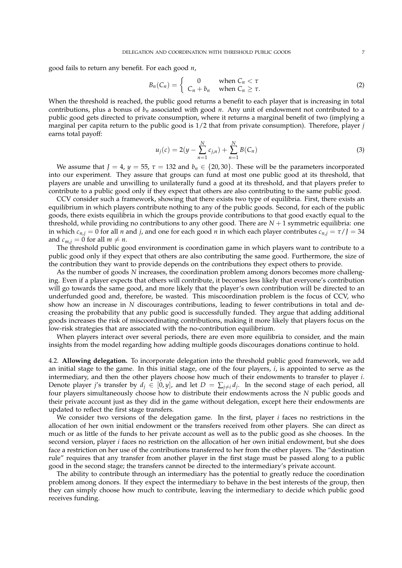good fails to return any benefit. For each good *n*,

$$
B_n(C_n) = \begin{cases} 0 & \text{when } C_n < \tau \\ C_n + b_n & \text{when } C_n \geq \tau. \end{cases} \tag{2}
$$

When the threshold is reached, the public good returns a benefit to each player that is increasing in total contributions, plus a bonus of *b<sup>n</sup>* associated with good *n*. Any unit of endowment not contributed to a public good gets directed to private consumption, where it returns a marginal benefit of two (implying a marginal per capita return to the public good is 1/2 that from private consumption). Therefore, player *j* earns total payoff:

$$
u_j(c) = 2(y - \sum_{n=1}^{N} c_{j,n}) + \sum_{n=1}^{N} B(C_n)
$$
\n(3)

We assume that  $J = 4$ ,  $y = 55$ ,  $\tau = 132$  and  $b_n \in \{20, 30\}$ . These will be the parameters incorporated into our experiment. They assure that groups can fund at most one public good at its threshold, that players are unable and unwilling to unilaterally fund a good at its threshold, and that players prefer to contribute to a public good only if they expect that others are also contributing to the same public good.

CCV consider such a framework, showing that there exists two type of equilibria. First, there exists an equilibrium in which players contribute nothing to any of the public goods. Second, for each of the public goods, there exists equilibria in which the groups provide contributions to that good exactly equal to the threshold, while providing no contributions to any other good. There are  $N + 1$  symmetric equilibria: one in which  $c_{n,j} = 0$  for all *n* and *j*, and one for each good *n* in which each player contributes  $c_{n,j} = \tau / J = 34$ and  $c_{m,i} = 0$  for all  $m \neq n$ .

The threshold public good environment is coordination game in which players want to contribute to a public good only if they expect that others are also contributing the same good. Furthermore, the size of the contribution they want to provide depends on the contributions they expect others to provide.

As the number of goods *N* increases, the coordination problem among donors becomes more challenging. Even if a player expects that others will contribute, it becomes less likely that everyone's contribution will go towards the same good, and more likely that the player's own contribution will be directed to an underfunded good and, therefore, be wasted. This miscoordination problem is the focus of CCV, who show how an increase in *N* discourages contributions, leading to fewer contributions in total and decreasing the probability that any public good is successfully funded. They argue that adding additional goods increases the risk of miscoordinating contributions, making it more likely that players focus on the low-risk strategies that are associated with the no-contribution equilibrium.

When players interact over several periods, there are even more equilibria to consider, and the main insights from the model regarding how adding multiple goods discourages donations continue to hold.

4.2. **Allowing delegation.** To incorporate delegation into the threshold public good framework, we add an initial stage to the game. In this initial stage, one of the four players, *i*, is appointed to serve as the intermediary, and then the other players choose how much of their endowments to transfer to player *i*. Denote player *j*'s transfer by  $d_j \in [0, y]$ , and let  $D = \sum_{j \neq i} d_j$ . In the second stage of each period, all four players simultaneously choose how to distribute their endowments across the *N* public goods and their private account just as they did in the game without delegation, except here their endowments are updated to reflect the first stage transfers.

We consider two versions of the delegation game. In the first, player *i* faces no restrictions in the allocation of her own initial endowment or the transfers received from other players. She can direct as much or as little of the funds to her private account as well as to the public good as she chooses. In the second version, player *i* faces no restriction on the allocation of her own initial endowment, but she does face a restriction on her use of the contributions transferred to her from the other players. The "destination rule" requires that any transfer from another player in the first stage must be passed along to a public good in the second stage; the transfers cannot be directed to the intermediary's private account.

The ability to contribute through an intermediary has the potential to greatly reduce the coordination problem among donors. If they expect the intermediary to behave in the best interests of the group, then they can simply choose how much to contribute, leaving the intermediary to decide which public good receives funding.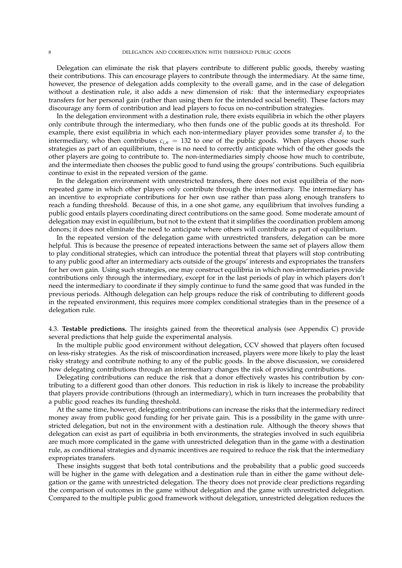Delegation can eliminate the risk that players contribute to different public goods, thereby wasting their contributions. This can encourage players to contribute through the intermediary. At the same time, however, the presence of delegation adds complexity to the overall game, and in the case of delegation without a destination rule, it also adds a new dimension of risk: that the intermediary expropriates transfers for her personal gain (rather than using them for the intended social benefit). These factors may discourage any form of contribution and lead players to focus on no-contribution strategies.

In the delegation environment with a destination rule, there exists equilibria in which the other players only contribute through the intermediary, who then funds one of the public goods at its threshold. For example, there exist equilibria in which each non-intermediary player provides some transfer *d<sup>j</sup>* to the intermediary, who then contributes  $c_{i,n} = 132$  to one of the public goods. When players choose such strategies as part of an equilibrium, there is no need to correctly anticipate which of the other goods the other players are going to contribute to. The non-intermediaries simply choose how much to contribute, and the intermediate then chooses the public good to fund using the groups' contributions. Such equilibria continue to exist in the repeated version of the game.

In the delegation environment with unrestricted transfers, there does not exist equilibria of the nonrepeated game in which other players only contribute through the intermediary. The intermediary has an incentive to expropriate contributions for her own use rather than pass along enough transfers to reach a funding threshold. Because of this, in a one shot game, any equilibrium that involves funding a public good entails players coordinating direct contributions on the same good. Some moderate amount of delegation may exist in equilibrium, but not to the extent that it simplifies the coordination problem among donors; it does not eliminate the need to anticipate where others will contribute as part of equilibrium.

In the repeated version of the delegation game with unrestricted transfers, delegation can be more helpful. This is because the presence of repeated interactions between the same set of players allow them to play conditional strategies, which can introduce the potential threat that players will stop contributing to any public good after an intermediary acts outside of the groups' interests and expropriates the transfers for her own gain. Using such strategies, one may construct equilibria in which non-intermediaries provide contributions only through the intermediary, except for in the last periods of play in which players don't need the intermediary to coordinate if they simply continue to fund the same good that was funded in the previous periods. Although delegation can help groups reduce the risk of contributing to different goods in the repeated environment, this requires more complex conditional strategies than in the presence of a delegation rule.

4.3. **Testable predictions.** The insights gained from the theoretical analysis (see Appendix C) provide several predictions that help guide the experimental analysis.

In the multiple public good environment without delegation, CCV showed that players often focused on less-risky strategies. As the risk of miscoordination increased, players were more likely to play the least risky strategy and contribute nothing to any of the public goods. In the above discussion, we considered how delegating contributions through an intermediary changes the risk of providing contributions.

Delegating contributions can reduce the risk that a donor effectively wastes his contribution by contributing to a different good than other donors. This reduction in risk is likely to increase the probability that players provide contributions (through an intermediary), which in turn increases the probability that a public good reaches its funding threshold.

At the same time, however, delegating contributions can increase the risks that the intermediary redirect money away from public good funding for her private gain. This is a possibility in the game with unrestricted delegation, but not in the environment with a destination rule. Although the theory shows that delegation can exist as part of equilibria in both environments, the strategies involved in such equilibria are much more complicated in the game with unrestricted delegation than in the game with a destination rule, as conditional strategies and dynamic incentives are required to reduce the risk that the intermediary expropriates transfers.

These insights suggest that both total contributions and the probability that a public good succeeds will be higher in the game with delegation and a destination rule than in either the game without delegation or the game with unrestricted delegation. The theory does not provide clear predictions regarding the comparison of outcomes in the game without delegation and the game with unrestricted delegation. Compared to the multiple public good framework without delegation, unrestricted delegation reduces the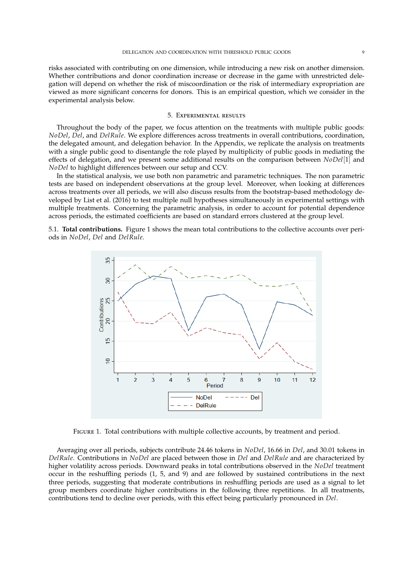risks associated with contributing on one dimension, while introducing a new risk on another dimension. Whether contributions and donor coordination increase or decrease in the game with unrestricted delegation will depend on whether the risk of miscoordination or the risk of intermediary expropriation are viewed as more significant concerns for donors. This is an empirical question, which we consider in the experimental analysis below.

#### 5. Experimental results

Throughout the body of the paper, we focus attention on the treatments with multiple public goods: *NoDel*, *Del*, and *DelRule*. We explore differences across treatments in overall contributions, coordination, the delegated amount, and delegation behavior. In the Appendix, we replicate the analysis on treatments with a single public good to disentangle the role played by multiplicity of public goods in mediating the effects of delegation, and we present some additional results on the comparison between *NoDel*[1] and *NoDel* to highlight differences between our setup and CCV.

In the statistical analysis, we use both non parametric and parametric techniques. The non parametric tests are based on independent observations at the group level. Moreover, when looking at differences across treatments over all periods, we will also discuss results from the bootstrap-based methodology developed by List et al. (2016) to test multiple null hypotheses simultaneously in experimental settings with multiple treatments. Concerning the parametric analysis, in order to account for potential dependence across periods, the estimated coefficients are based on standard errors clustered at the group level.

5.1. **Total contributions.** Figure 1 shows the mean total contributions to the collective accounts over periods in *NoDel*, *Del* and *DelRule*.



Figure 1. Total contributions with multiple collective accounts, by treatment and period.

Averaging over all periods, subjects contribute 24.46 tokens in *NoDel*, 16.66 in *Del*, and 30.01 tokens in *DelRule*. Contributions in *NoDel* are placed between those in *Del* and *DelRule* and are characterized by higher volatility across periods. Downward peaks in total contributions observed in the *NoDel* treatment occur in the reshuffling periods (1, 5, and 9) and are followed by sustained contributions in the next three periods, suggesting that moderate contributions in reshuffling periods are used as a signal to let group members coordinate higher contributions in the following three repetitions. In all treatments, contributions tend to decline over periods, with this effect being particularly pronounced in *Del*.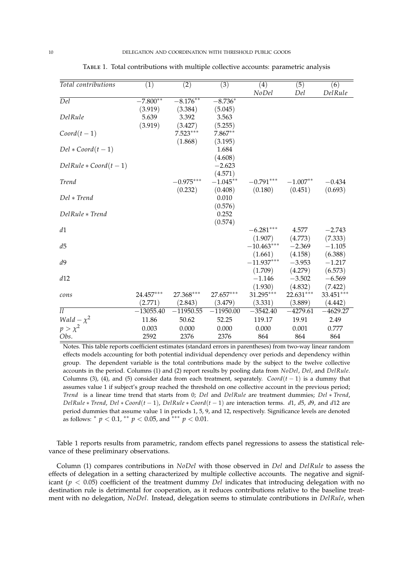| Total contributions        | (1)         | (2)         | (3)         | $\left( 4\right)$ | (5)        | (6)         |
|----------------------------|-------------|-------------|-------------|-------------------|------------|-------------|
|                            |             |             |             | NoDel             | Del        | DelRule     |
| $\overline{Del}$           | $-7.800**$  | $-8.176***$ | $-8.736*$   |                   |            |             |
|                            | (3.919)     | (3.384)     | (5.045)     |                   |            |             |
| DelRule                    | 5.639       | 3.392       | 3.563       |                   |            |             |
|                            | (3.919)     | (3.427)     | (5.255)     |                   |            |             |
| $Coord(t-1)$               |             | $7.523***$  | $7.867**$   |                   |            |             |
|                            |             | (1.868)     | (3.195)     |                   |            |             |
| $Del * Coord(t-1)$         |             |             | 1.684       |                   |            |             |
|                            |             |             | (4.608)     |                   |            |             |
| $DelRule * Coord(t-1)$     |             |             | $-2.623$    |                   |            |             |
|                            |             |             | (4.571)     |                   |            |             |
| Trend                      |             | $-0.975***$ | $-1.045**$  | $-0.791***$       | $-1.007**$ | $-0.434$    |
|                            |             | (0.232)     | (0.408)     | (0.180)           | (0.451)    | (0.693)     |
| Del * Trend                |             |             | 0.010       |                   |            |             |
|                            |             |             | (0.576)     |                   |            |             |
| DelRule * Trend            |             |             | 0.252       |                   |            |             |
|                            |             |             | (0.574)     |                   |            |             |
| d1                         |             |             |             | $-6.281***$       | 4.577      | $-2.743$    |
|                            |             |             |             | (1.907)           | (4.773)    | (7.333)     |
| d5                         |             |             |             | $-10.463***$      | $-2.369$   | $-1.105$    |
|                            |             |             |             | (1.661)           | (4.158)    | (6.388)     |
| d9                         |             |             |             | $-11.937***$      | $-3.953$   | $-1.217$    |
|                            |             |             |             | (1.709)           | (4.279)    | (6.573)     |
| d12                        |             |             |             | $-1.146$          | $-3.502$   | $-6.569$    |
|                            |             |             |             | (1.930)           | (4.832)    | (7.422)     |
| cons                       | 24.457***   | 27.368***   | 27.657***   | 31.295***         | 22.631***  | $33.451***$ |
|                            | (2.771)     | (2.843)     | (3.479)     | (3.331)           | (3.889)    | (4.442)     |
| $\overline{l}\overline{l}$ | $-13055.40$ | $-11950.55$ | $-11950.00$ | $-3542.40$        | $-4279.61$ | $-4629.27$  |
| Wald $-\chi^2$             | 11.86       | 50.62       | 52.25       | 119.17            | 19.91      | 2.49        |
| $p > \chi^2$               | 0.003       | 0.000       | 0.000       | 0.000             | 0.001      | 0.777       |
| Obs.                       | 2592        | 2376        | 2376        | 864               | 864        | 864         |

Table 1. Total contributions with multiple collective accounts: parametric analysis

Notes. This table reports coefficient estimates (standard errors in parentheses) from two-way linear random effects models accounting for both potential individual dependency over periods and dependency within group. The dependent variable is the total contributions made by the subject to the twelve collective accounts in the period. Columns (1) and (2) report results by pooling data from *NoDel*, *Del*, and *DelRule*. Columns (3), (4), and (5) consider data from each treatment, separately. *Coord*(*t* − 1) is a dummy that assumes value 1 if subject's group reached the threshold on one collective account in the previous period; *Trend* is a linear time trend that starts from 0; *Del* and *DelRule* are treatment dummies; *Del* ∗ *Trend*, *DelRule* ∗ *Trend*, *Del* ∗ *Coord*(*t* − 1), *DelRule* ∗ *Coord*(*t* − 1) are interaction terms. *d*1, *d*5, *d*9, and *d*12 are period dummies that assume value 1 in periods 1, 5, 9, and 12, respectively. Significance levels are denoted as follows: ∗ *p* < 0.1, ∗∗ *p* < 0.05, and ∗∗∗ *p* < 0.01.

Table 1 reports results from parametric, random effects panel regressions to assess the statistical relevance of these preliminary observations.

Column (1) compares contributions in *NoDel* with those observed in *Del* and *DelRule* to assess the effects of delegation in a setting characterized by multiple collective accounts. The negative and significant (*p* < 0.05) coefficient of the treatment dummy *Del* indicates that introducing delegation with no destination rule is detrimental for cooperation, as it reduces contributions relative to the baseline treatment with no delegation, *NoDel*. Instead, delegation seems to stimulate contributions in *DelRule*, when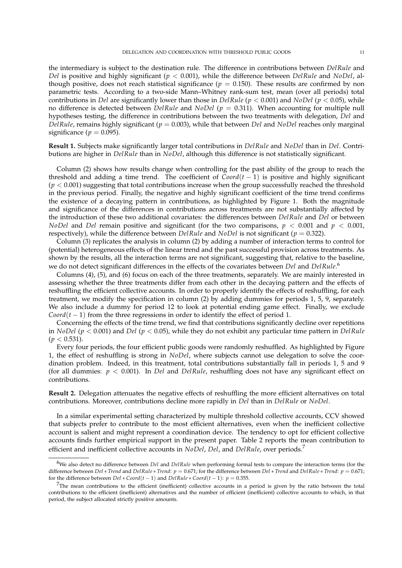the intermediary is subject to the destination rule. The difference in contributions between *DelRule* and *Del* is positive and highly significant (*p* < 0.001), while the difference between *DelRule* and *NoDel*, although positive, does not reach statistical significance ( $p = 0.150$ ). These results are confirmed by non parametric tests. According to a two-side Mann–Whitney rank-sum test, mean (over all periods) total contributions in *Del* are significantly lower than those in *DelRule* (*p* < 0.001) and *NoDel* (*p* < 0.05), while no difference is detected between *DelRule* and *NoDel* (*p* = 0.311). When accounting for multiple null hypotheses testing, the difference in contributions between the two treatments with delegation, *Del* and *DelRule*, remains highly significant (*p* = 0.003), while that between *Del* and *NoDel* reaches only marginal significance ( $p = 0.095$ ).

**Result 1.** Subjects make significantly larger total contributions in *DelRule* and *NoDel* than in *Del*. Contributions are higher in *DelRule* than in *NoDel*, although this difference is not statistically significant.

Column (2) shows how results change when controlling for the past ability of the group to reach the threshold and adding a time trend. The coefficient of  $\text{Coord}(t-1)$  is positive and highly significant  $(p < 0.001)$  suggesting that total contributions increase when the group successfully reached the threshold in the previous period. Finally, the negative and highly significant coefficient of the time trend confirms the existence of a decaying pattern in contributions, as highlighted by Figure 1. Both the magnitude and significance of the differences in contributions across treatments are not substantially affected by the introduction of these two additional covariates: the differences between *DelRule* and *Del* or between *NoDel* and *Del* remain positive and significant (for the two comparisons,  $p < 0.001$  and  $p < 0.001$ , respectively), while the difference between *DelRule* and *NoDel* is not significant (*p* = 0.322).

Column (3) replicates the analysis in column (2) by adding a number of interaction terms to control for (potential) heterogeneous effects of the linear trend and the past successful provision across treatments. As shown by the results, all the interaction terms are not significant, suggesting that, relative to the baseline, we do not detect significant differences in the effects of the covariates between *Del* and *DelRule*. 6

Columns (4), (5), and (6) focus on each of the three treatments, separately. We are mainly interested in assessing whether the three treatments differ from each other in the decaying pattern and the effects of reshuffling the efficient collective accounts. In order to properly identify the effects of reshuffling, for each treatment, we modify the specification in column (2) by adding dummies for periods 1, 5, 9, separately. We also include a dummy for period 12 to look at potential ending game effect. Finally, we exclude *Coord*( $t - 1$ ) from the three regressions in order to identify the effect of period 1.

Concerning the effects of the time trend, we find that contributions significantly decline over repetitions in *NoDel* (*p* < 0.001) and *Del* (*p* < 0.05), while they do not exhibit any particular time pattern in *DelRule*  $(p < 0.531)$ .

Every four periods, the four efficient public goods were randomly reshuffled. As highlighted by Figure 1, the effect of reshuffling is strong in *NoDel*, where subjects cannot use delegation to solve the coordination problem. Indeed, in this treatment, total contributions substantially fall in periods 1, 5 and 9 (for all dummies: *p* < 0.001). In *Del* and *DelRule*, reshuffling does not have any significant effect on contributions.

**Result 2.** Delegation attenuates the negative effects of reshuffling the more efficient alternatives on total contributions. Moreover, contributions decline more rapidly in *Del* than in *DelRule* or *NoDel*.

In a similar experimental setting characterized by multiple threshold collective accounts, CCV showed that subjects prefer to contribute to the most efficient alternatives, even when the inefficient collective account is salient and might represent a coordination device. The tendency to opt for efficient collective accounts finds further empirical support in the present paper. Table 2 reports the mean contribution to efficient and inefficient collective accounts in *NoDel*, *Del*, and *DelRule*, over periods.<sup>7</sup>

<sup>6</sup>We also detect no difference between *Del* and *DelRule* when performing formal tests to compare the interaction terms (for the difference between *Del* ∗ *Trend* and *DelRule* ∗ *Trend*:  $p = 0.671$ ; for the difference between *Del* ∗ *Trend* and *DelRule* ∗ *Trend*:  $p = 0.671$ ; for the difference between  $Del * Coord(t-1)$  and  $DelRule * Coord(t-1): p = 0.355$ .

 $^{7}$ The mean contributions to the efficient (inefficient) collective accounts in a period is given by the ratio between the total contributions to the efficient (inefficient) alternatives and the number of efficient (inefficient) collective accounts to which, in that period, the subject allocated strictly positive amounts.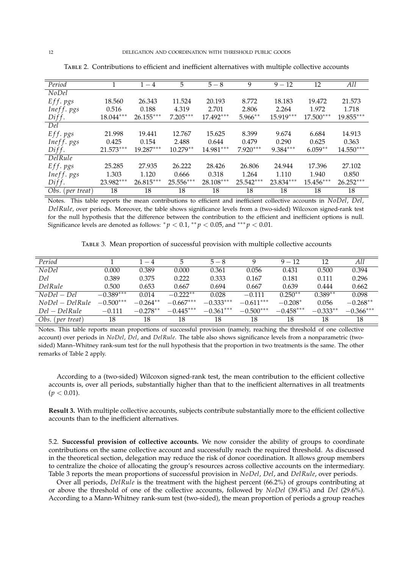| Period           |             | $1 - 4$     | 5           | $5 - 8$   | 9          | $9 - 12$   | 12          | All         |
|------------------|-------------|-------------|-------------|-----------|------------|------------|-------------|-------------|
| <b>NoDel</b>     |             |             |             |           |            |            |             |             |
|                  | 18.560      | 26.343      | 11.524      | 20.193    | 8.772      | 18.183     | 19.472      | 21.573      |
| Eff. pgs         |             |             |             |           |            |            |             |             |
| Ineff. pgs       | 0.516       | 0.188       | 4.319       | 2.701     | 2.806      | 2.264      | 1.972       | 1.718       |
| Diff.            | $18.044***$ | $26.155***$ | $7.205***$  | 17.492*** | $5.966**$  | 15.919***  | 17.500***   | 19.855***   |
| Del              |             |             |             |           |            |            |             |             |
| Eff. pgs         | 21.998      | 19.441      | 12.767      | 15.625    | 8.399      | 9.674      | 6.684       | 14.913      |
| Ineff. pgs       | 0.425       | 0.154       | 2.488       | 0.644     | 0.479      | 0.290      | 0.625       | 0.363       |
| Diff.            | $21.573***$ | $19.287***$ | $10.279**$  | 14.981*** | $7.920***$ | $9.384***$ | $6.059**$   | 14.550***   |
| Del Rule         |             |             |             |           |            |            |             |             |
| Eff. pgs         | 25.285      | 27.935      | 26.222      | 28.426    | 26.806     | 24.944     | 17.396      | 27.102      |
| $Ineff. pgs$     | 1.303       | 1.120       | 0.666       | 0.318     | 1.264      | 1.110      | 1.940       | 0.850       |
| Diff.            | 23.982***   | 26.815***   | $25.556***$ | 28.108*** | 25.542***  | 23.834***  | $15.456***$ | $26.252***$ |
| Obs. (per treat) | 18          | 18          | 18          | 18        | 18         | 18         | 18          | 18          |

Table 2. Contributions to efficient and inefficient alternatives with multiple collective accounts

Notes. This table reports the mean contributions to efficient and inefficient collective accounts in *NoDel*, *Del*, *DelRule*, over periods. Moreover, the table shows significance levels from a (two-sided) Wilcoxon signed-rank test for the null hypothesis that the difference between the contribution to the efficient and inefficient options is null. Significance levels are denoted as follows:  ${}^*\!p < 0.1, {}^{**}\!p < 0.05$ , and  ${}^{***}p < 0.01.$ 

Table 3. Mean proportion of successful provision with multiple collective accounts

| Period           |             | $1 - 4$    | 5           | $5 - 8$     | Q.          | $9 - 12$    | 12         | All         |
|------------------|-------------|------------|-------------|-------------|-------------|-------------|------------|-------------|
| NoDel            | 0.000       | 0.389      | 0.000       | 0.361       | 0.056       | 0.431       | 0.500      | 0.394       |
| Del              | 0.389       | 0.375      | 0.222       | 0.333       | 0.167       | 0.181       | 0.111      | 0.296       |
| Del Rule         | 0.500       | 0.653      | 0.667       | 0.694       | 0.667       | 0.639       | 0.444      | 0.662       |
| $NoDel-Del$      | $-0.389***$ | 0.014      | $-0.222**$  | 0.028       | $-0.111$    | $0.250**$   | $0.389**$  | 0.098       |
| $NoDel-DelRule$  | $-0.500***$ | $-0.264**$ | $-0.667***$ | $-0.333***$ | $-0.611***$ | $-0.208*$   | 0.056      | $-0.268**$  |
| $Del - DelRule$  | $-0.111$    | $-0.278**$ | $-0.445***$ | $-0.361***$ | $-0.500***$ | $-0.458***$ | $-0.333**$ | $-0.366***$ |
| Obs. (per treat) | 18          | 18         | 18          | 18          | 18          | 18          | 18         | 18          |

Notes. This table reports mean proportions of successful provision (namely, reaching the threshold of one collective account) over periods in *NoDel*, *Del*, and *DelRule*. The table also shows significance levels from a nonparametric (twosided) Mann–Whitney rank-sum test for the null hypothesis that the proportion in two treatments is the same. The other remarks of Table 2 apply.

According to a (two-sided) Wilcoxon signed-rank test, the mean contribution to the efficient collective accounts is, over all periods, substantially higher than that to the inefficient alternatives in all treatments  $(p < 0.01)$ .

**Result 3.** With multiple collective accounts, subjects contribute substantially more to the efficient collective accounts than to the inefficient alternatives.

5.2. **Successful provision of collective accounts.** We now consider the ability of groups to coordinate contributions on the same collective account and successfully reach the required threshold. As discussed in the theoretical section, delegation may reduce the risk of donor coordination. It allows group members to centralize the choice of allocating the group's resources across collective accounts on the intermediary. Table 3 reports the mean proportions of successful provision in *NoDel*, *Del*, and *DelRule*, over periods.

Over all periods, *DelRule* is the treatment with the highest percent (66.2%) of groups contributing at or above the threshold of one of the collective accounts, followed by *NoDel* (39.4%) and *Del* (29.6%). According to a Mann-Whitney rank-sum test (two-sided), the mean proportion of periods a group reaches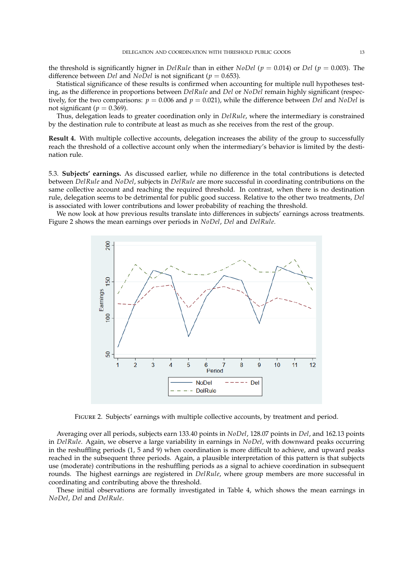the threshold is significantly higner in *DelRule* than in either *NoDel* (*p* = 0.014) or *Del* (*p* = 0.003). The difference between *Del* and *NoDel* is not significant (*p* = 0.653).

Statistical significance of these results is confirmed when accounting for multiple null hypotheses testing, as the difference in proportions between *DelRule* and *Del* or *NoDel* remain highly significant (respectively, for the two comparisons:  $p = 0.006$  and  $p = 0.021$ ), while the difference between *Del* and *NoDel* is not significant ( $p = 0.369$ ).

Thus, delegation leads to greater coordination only in *DelRule*, where the intermediary is constrained by the destination rule to contribute at least as much as she receives from the rest of the group.

**Result 4.** With multiple collective accounts, delegation increases the ability of the group to successfully reach the threshold of a collective account only when the intermediary's behavior is limited by the destination rule.

5.3. **Subjects' earnings.** As discussed earlier, while no difference in the total contributions is detected between *DelRule* and *NoDel*, subjects in *DelRule* are more successful in coordinating contributions on the same collective account and reaching the required threshold. In contrast, when there is no destination rule, delegation seems to be detrimental for public good success. Relative to the other two treatments, *Del* is associated with lower contributions and lower probability of reaching the threshold.

We now look at how previous results translate into differences in subjects' earnings across treatments. Figure 2 shows the mean earnings over periods in *NoDel*, *Del* and *DelRule*.



FIGURE 2. Subjects' earnings with multiple collective accounts, by treatment and period.

Averaging over all periods, subjects earn 133.40 points in *NoDel*, 128.07 points in *Del*, and 162.13 points in *DelRule*. Again, we observe a large variability in earnings in *NoDel*, with downward peaks occurring in the reshuffling periods (1, 5 and 9) when coordination is more difficult to achieve, and upward peaks reached in the subsequent three periods. Again, a plausible interpretation of this pattern is that subjects use (moderate) contributions in the reshuffling periods as a signal to achieve coordination in subsequent rounds. The highest earnings are registered in *DelRule*, where group members are more successful in coordinating and contributing above the threshold.

These initial observations are formally investigated in Table 4, which shows the mean earnings in *NoDel*, *Del* and *DelRule*.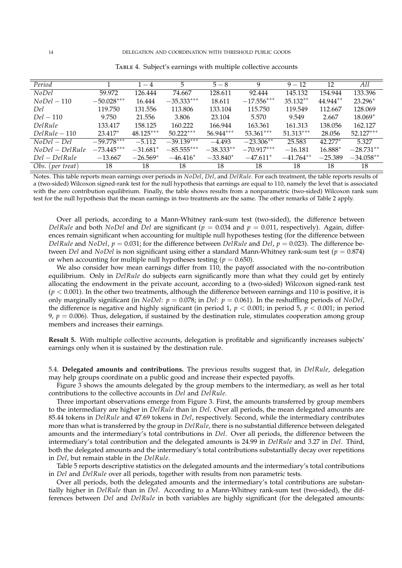| Period           |              | $1 - 4$     | 5            | $5 - 8$     | 9            | $9 - 12$    | 12        | All         |
|------------------|--------------|-------------|--------------|-------------|--------------|-------------|-----------|-------------|
| <b>NoDel</b>     | 59.972       | 126.444     | 74.667       | 128.611     | 92.444       | 145.132     | 154.944   | 133.396     |
| $N_0Del-110$     | $-50.028***$ | 16.444      | $-35.333***$ | 18.611      | $-17.556***$ | $35.132**$  | 44.944**  | $23.296*$   |
| Del              | 119.750      | 131.556     | 113.806      | 133.104     | 115.750      | 119.549     | 112.667   | 128.069     |
| $Del-110$        | 9.750        | 21.556      | 3.806        | 23.104      | 5.570        | 9.549       | 2.667     | $18.069*$   |
| Del Rule         | 133.417      | 158.125     | 160.222      | 166.944     | 163.361      | 161.313     | 138.056   | 162.127     |
| $DelRule-110$    | $23.417*$    | $48.125***$ | $50.222***$  | $56.944***$ | $53.361***$  | $51.313***$ | 28.056    | $52.127***$ |
| $N_0Del-Del$     | $-59.778***$ | $-5.112$    | $-39.139***$ | $-4.493$    | $-23.306**$  | 25.583      | $42.277*$ | 5.327       |
| $NoDel-DelRule$  | $-73.445***$ | $-31.681*$  | $-85.555***$ | $-38.333**$ | $-70.917***$ | $-16.181$   | 16.888*   | $-28.731**$ |
| $Del - DelRule$  | $-13.667$    | $-26.569*$  | $-46.416*$   | $-33.840*$  | $-47.611*$   | $-41.764**$ | $-25.389$ | $-34.058**$ |
| Obs. (per treat) | 18           | 18          | 18           | 18          | 18           | 18          | 18        | 18          |

TABLE 4. Subject's earnings with multiple collective accounts

Notes. This table reports mean earnings over periods in *NoDel*, *Del*, and *DelRule*. For each treatment, the table reports results of a (two-sided) Wilcoxon signed-rank test for the null hypothesis that earnings are equal to 110, namely the level that is associated with the zero contribution equilibrium. Finally, the table shows results from a nonparametric (two-sided) Wilcoxon rank sum test for the null hypothesis that the mean earnings in two treatments are the same. The other remarks of Table 2 apply.

Over all periods, according to a Mann-Whitney rank-sum test (two-sided), the difference between *DelRule* and both *NoDel* and *Del* are significant ( $p = 0.034$  and  $p = 0.011$ , respectively). Again, differences remain significant when accounting for multiple null hypotheses testing (for the difference between *DelRule* and *NoDel*,  $p = 0.031$ ; for the difference between *DelRule* and *Del*,  $p = 0.023$ ). The difference between *Del* and *NoDel* is non significant using either a standard Mann-Whitney rank-sum test (*p* = 0.874) or when accounting for multiple null hypotheses testing ( $p = 0.650$ ).

We also consider how mean earnings differ from 110, the payoff associated with the no-contribution equilibrium. Only in *DelRule* do subjects earn significantly more than what they could get by entirely allocating the endowment in the private account, according to a (two-sided) Wilcoxon signed-rank test  $(p < 0.001)$ . In the other two treatments, although the difference between earnings and 110 is positive, it is only marginally significant (in *NoDel*:  $p = 0.078$ ; in *Del*:  $p = 0.061$ ). In the reshuffling periods of *NoDel*, the difference is negative and highly significant (in period 1,  $p < 0.001$ ; in period 5,  $p < 0.001$ ; in period 9,  $p = 0.006$ ). Thus, delegation, if sustained by the destination rule, stimulates cooperation among group members and increases their earnings.

**Result 5.** With multiple collective accounts, delegation is profitable and significantly increases subjects' earnings only when it is sustained by the destination rule.

5.4. **Delegated amounts and contributions.** The previous results suggest that, in *DelRule*, delegation may help groups coordinate on a public good and increase their expected payoffs.

Figure 3 shows the amounts delegated by the group members to the intermediary, as well as her total contributions to the collective accounts in *Del* and *DelRule*.

Three important observations emerge from Figure 3. First, the amounts transferred by group members to the intermediary are higher in *DelRule* than in *Del*. Over all periods, the mean delegated amounts are 85.44 tokens in *DelRule* and 47.69 tokens in *Del*, respectively. Second, while the intermediary contributes more than what is transferred by the group in *DelRule*, there is no substantial difference between delegated amounts and the intermediary's total contributions in *Del*. Over all periods, the difference between the intermediary's total contribution and the delegated amounts is 24.99 in *DelRule* and 3.27 in *Del*. Third, both the delegated amounts and the intermediary's total contributions substantially decay over repetitions in *Del*, but remain stable in the *DelRule*.

Table 5 reports descriptive statistics on the delegated amounts and the intermediary's total contributions in *Del* and *DelRule* over all periods, together with results from non parametric tests.

Over all periods, both the delegated amounts and the intermediary's total contributions are substantially higher in *DelRule* than in *Del*. According to a Mann-Whitney rank-sum test (two-sided), the differences between *Del* and *DelRule* in both variables are highly significant (for the delegated amounts: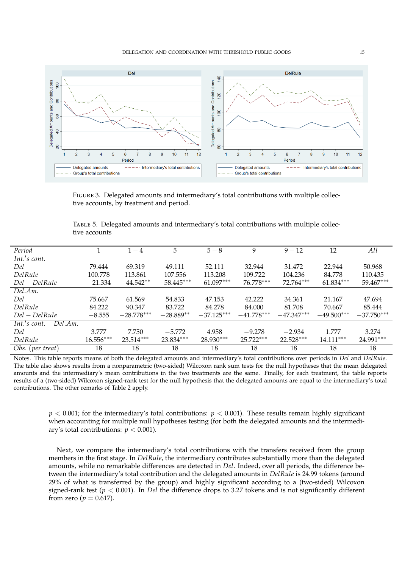

Figure 3. Delegated amounts and intermediary's total contributions with multiple collective accounts, by treatment and period.

Table 5. Delegated amounts and intermediary's total contributions with multiple collective accounts

| Period                      |             | $1 - 4$      | 5.           | $5 - 8$      | 9            | $9 - 12$     | 12           | All          |
|-----------------------------|-------------|--------------|--------------|--------------|--------------|--------------|--------------|--------------|
| $Int.'s$ cont.              |             |              |              |              |              |              |              |              |
| Del                         | 79.444      | 69.319       | 49.111       | 52.111       | 32.944       | 31.472       | 22.944       | 50.968       |
| DelRule                     | 100.778     | 113.861      | 107.556      | 113.208      | 109.722      | 104.236      | 84.778       | 110.435      |
| $Del - DelRule$             | $-21.334$   | $-44.542**$  | $-58.445***$ | $-61.097***$ | $-76.778***$ | $-72.764***$ | $-61.834***$ | $-59.467***$ |
| Del.Am.                     |             |              |              |              |              |              |              |              |
| Del                         | 75.667      | 61.569       | 54.833       | 47.153       | 42.222       | 34.361       | 21.167       | 47.694       |
| DelRule                     | 84.222      | 90.347       | 83.722       | 84.278       | 84,000       | 81.708       | 70.667       | 85.444       |
| $Del-DelRule$               | $-8.555$    | $-28.778***$ | $-28.889**$  | $-37.125***$ | $-41.778***$ | $-47.347***$ | $-49.500***$ | $-37.750***$ |
| $Int.'s$ cont. $-Del$ . Am. |             |              |              |              |              |              |              |              |
| Del                         | 3.777       | 7.750        | $-5.772$     | 4.958        | $-9.278$     | $-2.934$     | 1.777        | 3.274        |
| DelRule                     | $16.556***$ | $23.514***$  | 23.834***    | 28.930***    | $25.722***$  | $22.528***$  | $14.111***$  | 24.991***    |
| Obs. (per treat)            | 18          | 18           | 18           | 18           | 18           | 18           | 18           | 18           |

Notes. This table reports means of both the delegated amounts and intermediary's total contributions over periods in *Del* and *DelRule*. The table also shows results from a nonparametric (two-sided) Wilcoxon rank sum tests for the null hypotheses that the mean delegated amounts and the intermediary's mean contributions in the two treatments are the same. Finally, for each treatment, the table reports results of a (two-sided) Wilcoxon signed-rank test for the null hypothesis that the delegated amounts are equal to the intermediary's total contributions. The other remarks of Table 2 apply.

 $p < 0.001$ ; for the intermediary's total contributions:  $p < 0.001$ ). These results remain highly significant when accounting for multiple null hypotheses testing (for both the delegated amounts and the intermediary's total contributions:  $p < 0.001$ ).

Next, we compare the intermediary's total contributions with the transfers received from the group members in the first stage. In *DelRule*, the intermediary contributes substantially more than the delegated amounts, while no remarkable differences are detected in *Del*. Indeed, over all periods, the difference between the intermediary's total contribution and the delegated amounts in *DelRule* is 24.99 tokens (around 29% of what is transferred by the group) and highly significant according to a (two-sided) Wilcoxon signed-rank test (*p* < 0.001). In *Del* the difference drops to 3.27 tokens and is not significantly different from zero ( $p = 0.617$ ).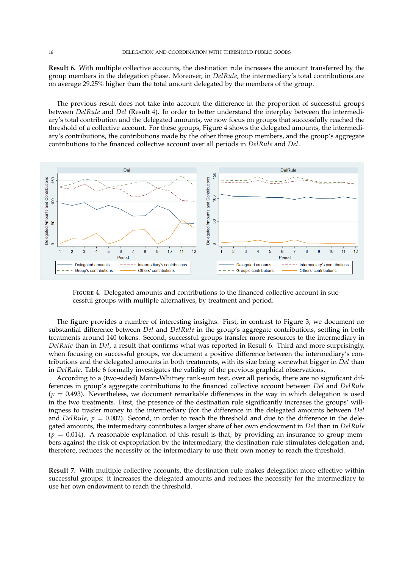**Result 6.** With multiple collective accounts, the destination rule increases the amount transferred by the group members in the delegation phase. Moreover, in *DelRule*, the intermediary's total contributions are on average 29.25% higher than the total amount delegated by the members of the group.

The previous result does not take into account the difference in the proportion of successful groups between *DelRule* and *Del* (Result 4). In order to better understand the interplay between the intermediary's total contribution and the delegated amounts, we now focus on groups that successfully reached the threshold of a collective account. For these groups, Figure 4 shows the delegated amounts, the intermediary's contributions, the contributions made by the other three group members, and the group's aggregate contributions to the financed collective account over all periods in *DelRule* and *Del*.



Figure 4. Delegated amounts and contributions to the financed collective account in successful groups with multiple alternatives, by treatment and period.

The figure provides a number of interesting insights. First, in contrast to Figure 3, we document no substantial difference between *Del* and *DelRule* in the group's aggregate contributions, settling in both treatments around 140 tokens. Second, successful groups transfer more resources to the intermediary in *DelRule* than in *Del*, a result that confirms what was reported in Result 6. Third and more surprisingly, when focusing on successful groups, we document a positive difference between the intermediary's contributions and the delegated amounts in both treatments, with its size being somewhat bigger in *Del* than in *DelRule*. Table 6 formally investigates the validity of the previous graphical observations.

According to a (two-sided) Mann-Whitney rank-sum test, over all periods, there are no significant differences in group's aggregate contributions to the financed collective account between *Del* and *DelRule*  $(p = 0.493)$ . Nevertheless, we document remarkable differences in the way in which delegation is used in the two treatments. First, the presence of the destination rule significantly increases the groups' willingness to trasfer money to the intermediary (for the difference in the delegated amounts between *Del* and *DelRule*,  $p = 0.002$ ). Second, in order to reach the threshold and due to the difference in the delegated amounts, the intermediary contributes a larger share of her own endowment in *Del* than in *DelRule*  $(p = 0.014)$ . A reasonable explanation of this result is that, by providing an insurance to group members against the risk of expropriation by the intermediary, the destination rule stimulates delegation and, therefore, reduces the necessity of the intermediary to use their own money to reach the threshold.

**Result 7.** With multiple collective accounts, the destination rule makes delegation more effective within successful groups: it increases the delegated amounts and reduces the necessity for the intermediary to use her own endowment to reach the threshold.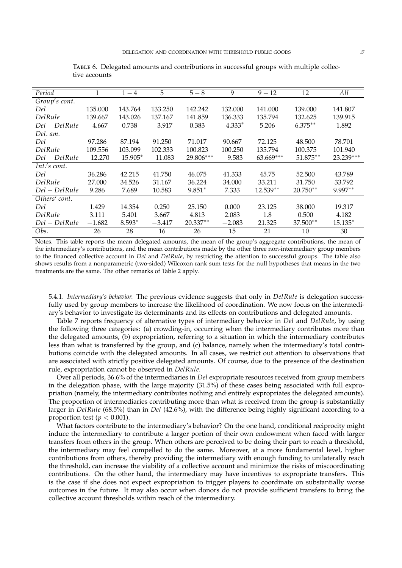| Period         | 1         | $1 - 4$    | 5         | $\overline{5-8}$ | $\overline{9}$ | $9 - 12$     | $\overline{12}$ | $\overline{All}$ |
|----------------|-----------|------------|-----------|------------------|----------------|--------------|-----------------|------------------|
| Group's cont.  |           |            |           |                  |                |              |                 |                  |
| Del            | 135.000   | 143.764    | 133.250   | 142.242          | 132.000        | 141.000      | 139.000         | 141.807          |
| DelRule        | 139.667   | 143.026    | 137.167   | 141.859          | 136.333        | 135.794      | 132.625         | 139.915          |
| $Del-DelRule$  | $-4.667$  | 0.738      | $-3.917$  | 0.383            | $-4.333*$      | 5.206        | $6.375***$      | 1.892            |
| Del. am.       |           |            |           |                  |                |              |                 |                  |
| Del            | 97.286    | 87.194     | 91.250    | 71.017           | 90.667         | 72.125       | 48.500          | 78.701           |
| Del Rule       | 109.556   | 103.099    | 102.333   | 100.823          | 100.250        | 135.794      | 100.375         | 101.940          |
| $Del-DelRule$  | $-12.270$ | $-15.905*$ | $-11.083$ | $-29.806***$     | $-9.583$       | $-63.669***$ | $-51.875**$     | $-23.239***$     |
| $Int.'s$ cont. |           |            |           |                  |                |              |                 |                  |
| Del            | 36.286    | 42.215     | 41.750    | 46.075           | 41.333         | 45.75        | 52.500          | 43.789           |
| DelRule        | 27,000    | 34.526     | 31.167    | 36.224           | 34.000         | 33.211       | 31.750          | 33.792           |
| $Del-DelRule$  | 9.286     | 7.689      | 10.583    | $9.851*$         | 7.333          | 12.539**     | $20.750**$      | 9.997**          |
| Others' cont.  |           |            |           |                  |                |              |                 |                  |
| Del            | 1.429     | 14.354     | 0.250     | 25.150           | 0.000          | 23.125       | 38,000          | 19.317           |
| Del Rule       | 3.111     | 5.401      | 3.667     | 4.813            | 2.083          | 1.8          | 0.500           | 4.182            |
| Del – Del Rule | $-1.682$  | $8.593*$   | $-3.417$  | $20.337**$       | $-2.083$       | 21.325       | 37.500**        | $15.135*$        |
| Obs.           | 26        | 28         | 16        | 26               | 15             | 21           | 10              | 30               |

Table 6. Delegated amounts and contributions in successful groups with multiple collective accounts

Notes. This table reports the mean delegated amounts, the mean of the group's aggregate contributions, the mean of the intermediary's contributions, and the mean contributions made by the other three non-intermediary group members to the financed collective account in *Del* and *DelRule*, by restricting the attention to successful groups. The table also shows results from a nonparametric (two-sided) Wilcoxon rank sum tests for the null hypotheses that means in the two treatments are the same. The other remarks of Table 2 apply.

5.4.1. *Intermediary's behavior.* The previous evidence suggests that only in *DelRule* is delegation successfully used by group members to increase the likelihood of coordination. We now focus on the intermediary's behavior to investigate its determinants and its effects on contributions and delegated amounts.

Table 7 reports frequency of alternative types of intermediary behavior in *Del* and *DelRule*, by using the following three categories: (a) crowding-in, occurring when the intermediary contributes more than the delegated amounts, (b) expropriation, referring to a situation in which the intermediary contributes less than what is transferred by the group, and (c) balance, namely when the intermediary's total contributions coincide with the delegated amounts. In all cases, we restrict out attention to observations that are associated with strictly positive delegated amounts. Of course, due to the presence of the destination rule, expropriation cannot be observed in *DelRule*.

Over all periods, 36.6% of the intermediaries in *Del* expropriate resources received from group members in the delegation phase, with the large majority (31.5%) of these cases being associated with full expropriation (namely, the intermediary contributes nothing and entirely expropriates the delegated amounts). The proportion of intermediaries contributing more than what is received from the group is substantially larger in *DelRule* (68.5%) than in *Del* (42.6%), with the difference being highly significant according to a proportion test ( $p < 0.001$ ).

What factors contribute to the intermediary's behavior? On the one hand, conditional reciprocity might induce the intermediary to contribute a larger portion of their own endowment when faced with larger transfers from others in the group. When others are perceived to be doing their part to reach a threshold, the intermediary may feel compelled to do the same. Moreover, at a more fundamental level, higher contributions from others, thereby providing the intermediary with enough funding to unilaterally reach the threshold, can increase the viability of a collective account and minimize the risks of miscoordinating contributions. On the other hand, the intermediary may have incentives to expropriate transfers. This is the case if she does not expect expropriation to trigger players to coordinate on substantially worse outcomes in the future. It may also occur when donors do not provide sufficient transfers to bring the collective account thresholds within reach of the intermediary.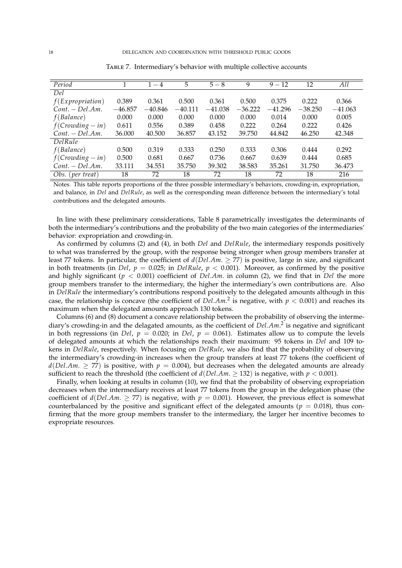| Period                    |           | $1 - 4$   | 5         | $5 - 8$   | 9         | $9 - 12$  | 12        | All       |
|---------------------------|-----------|-----------|-----------|-----------|-----------|-----------|-----------|-----------|
| Del                       |           |           |           |           |           |           |           |           |
| $f(\text{Expropriation})$ | 0.389     | 0.361     | 0.500     | 0.361     | 0.500     | 0.375     | 0.222     | 0.366     |
| $Cont. - Del. Am.$        | $-46.857$ | $-40.846$ | $-40.111$ | $-41.038$ | $-36.222$ | $-41.296$ | $-38.250$ | $-41.063$ |
| f(Balance)                | 0.000     | 0.000     | 0.000     | 0.000     | 0.000     | 0.014     | 0.000     | 0.005     |
| $f(Crowding - in)$        | 0.611     | 0.556     | 0.389     | 0.458     | 0.222     | 0.264     | 0.222     | 0.426     |
| $Cont. - Del. Am.$        | 36.000    | 40.500    | 36.857    | 43.152    | 39.750    | 44.842    | 46.250    | 42.348    |
| $\overline{DelRule}$      |           |           |           |           |           |           |           |           |
| f(Balance)                | 0.500     | 0.319     | 0.333     | 0.250     | 0.333     | 0.306     | 0.444     | 0.292     |
| $f(Crowding - in)$        | 0.500     | 0.681     | 0.667     | 0.736     | 0.667     | 0.639     | 0.444     | 0.685     |
| $Cont. - Del. Am.$        | 33.111    | 34.551    | 35.750    | 39.302    | 38.583    | 35.261    | 31.750    | 36.473    |
| Obs. (per treat)          | 18        | 72        | 18        | 72        | 18        | 72        | 18        | 216       |

Table 7. Intermediary's behavior with multiple collective accounts

Notes. This table reports proportions of the three possible intermediary's behaviors, crowding-in, expropriation, and balance, in *Del* and *DelRule*, as well as the corresponding mean difference between the intermediary's total contributions and the delegated amounts.

In line with these preliminary considerations, Table 8 parametrically investigates the determinants of both the intermediary's contributions and the probability of the two main categories of the intermediaries' behavior: expropriation and crowding-in.

As confirmed by columns (2) and (4), in both *Del* and *DelRule*, the intermediary responds positively to what was transferred by the group, with the response being stronger when group members transfer at least 77 tokens. In particular, the coefficient of  $d(Del.Am. \ge 77)$  is positive, large in size, and significant in both treatments (in *Del*,  $p = 0.025$ ; in *DelRule*,  $p < 0.001$ ). Moreover, as confirmed by the positive and highly significant (*p* < 0.001) coefficient of *Del*.*Am*. in column (2), we find that in *Del* the more group members transfer to the intermediary, the higher the intermediary's own contributions are. Also in *DelRule* the intermediary's contributions respond positively to the delegated amounts although in this case, the relationship is concave (the coefficient of  $Del.Am.<sup>2</sup>$  is negative, with  $p < 0.001$ ) and reaches its maximum when the delegated amounts approach 130 tokens.

Columns (6) and (8) document a concave relationship between the probability of observing the intermediary's crowding-in and the delagated amounts, as the coefficient of *Del*.*Am*. 2 is negative and significant in both regressions (in *Del*,  $p = 0.020$ ; in *Del*,  $p = 0.061$ ). Estimates allow us to compute the levels of delegated amounts at which the relationships reach their maximum: 95 tokens in *Del* and 109 tokens in *DelRule*, respectively. When focusing on *DelRule*, we also find that the probability of observing the intermediary's crowding-in increases when the group transfers at least 77 tokens (the coefficient of  $d(Del.Am. > 77)$  is positive, with  $p = 0.004$ , but decreases when the delegated amounts are already sufficient to reach the threshold (the coefficient of  $d(Del.Am. > 132)$  is negative, with  $p < 0.001$ ).

Finally, when looking at results in column (10), we find that the probability of observing expropriation decreases when the intermediary receives at least 77 tokens from the group in the delegation phase (the coefficient of  $d(Del.Am. \ge 77)$  is negative, with  $p = 0.001$ ). However, the previous effect is somewhat counterbalanced by the positive and significant effect of the delegated amounts ( $p = 0.018$ ), thus confirming that the more group members transfer to the intermediary, the larger her incentive becomes to expropriate resources.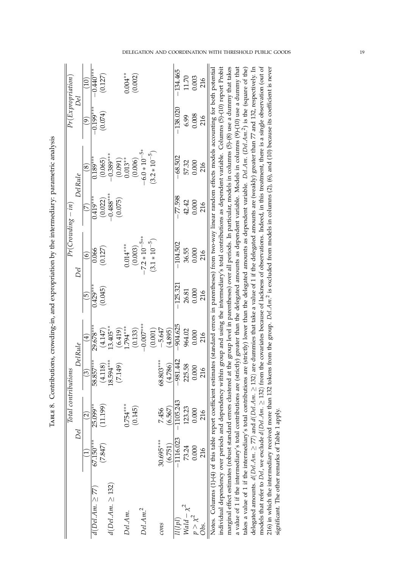|                                                                                                                                                                                            |             | Total contributions |                           |             |            |                    | $Pr(Crowding - m)$ |                                                                                                                             | $Pr(\mathrm{Expro\,}$     |            |
|--------------------------------------------------------------------------------------------------------------------------------------------------------------------------------------------|-------------|---------------------|---------------------------|-------------|------------|--------------------|--------------------|-----------------------------------------------------------------------------------------------------------------------------|---------------------------|------------|
|                                                                                                                                                                                            |             | Del                 | Del Rule                  |             |            | Del                |                    | <b>Del Rule</b>                                                                                                             |                           | Del        |
|                                                                                                                                                                                            |             | $\widehat{2}$       | $\widetilde{\mathcal{C}}$ | च           | 6          | $\widehat{\circ}$  | É                  | $\infty$                                                                                                                    | $\widetilde{\mathcal{S}}$ | (01)       |
| $d(Del. Am. \geq 77)$                                                                                                                                                                      | $67.150***$ | 25.099**            | 58.857***                 | 29.678***   | $0.429***$ | 0.066              | $0.419***$         | $0.189***$                                                                                                                  | $-0.199***$               | $-0.440**$ |
|                                                                                                                                                                                            | (7.847)     | (11.199)            | (4.118)                   | (4.147)     | (0.045)    | (0.127)            | (0.022)            | (0.065)                                                                                                                     | (0.074)                   | (0.127)    |
| $d(Del. Am. \geq 132)$                                                                                                                                                                     |             |                     | 18.594***                 | $13.405***$ |            |                    | $-0.488$ ***       | $-0.389***$                                                                                                                 |                           |            |
|                                                                                                                                                                                            |             |                     | (7.149                    | (6.419)     |            |                    | (0.075)            | $(1600)$<br>0.013**                                                                                                         |                           |            |
| Del.Am.                                                                                                                                                                                    |             | $0.754***$          |                           | $1.794***$  |            | $0.014***$         |                    |                                                                                                                             |                           | $0.004***$ |
|                                                                                                                                                                                            |             | (0.145)             |                           | (0.133)     |            | (0.003)            |                    | (0.006)                                                                                                                     |                           | (0.002)    |
| Del.Am. <sup>2</sup>                                                                                                                                                                       |             |                     |                           | $-0.007$    |            | $-7.2 * 10^{-5**}$ |                    | $-6.0 * 10^{-5*}$                                                                                                           |                           |            |
|                                                                                                                                                                                            |             |                     |                           | (0.001)     |            | $(3.1 * 10^{-5})$  |                    | $(3.2 * 10^{-5})$                                                                                                           |                           |            |
| cons                                                                                                                                                                                       | 30.695***   | 7.456               | 68.803***                 | $-5.647$    |            |                    |                    |                                                                                                                             |                           |            |
|                                                                                                                                                                                            | (6.751)     | (6.567)             | (4.786)                   | (4.895)     |            |                    |                    |                                                                                                                             |                           |            |
| 1/4                                                                                                                                                                                        | $-1116.023$ | $-1105.243$         | $-981.442$                | $-904.625$  | $-125.321$ | $-104.502$         | $-77.598$          | $-68.502$                                                                                                                   | $-138.020$                | $-134.465$ |
| $Wald - \chi^2$                                                                                                                                                                            | 73.24       | 123.23              | 225.58                    | 964.02      | 26.81      | 36.55              | 42.42              | 57.32                                                                                                                       | 6.99                      | 11.70      |
| $p > \chi^2$                                                                                                                                                                               | 0.000       | 0.000               | 0.000                     | 0.000       | 0.000      | 0.000              | 0.000              | 0.000                                                                                                                       | 0.008                     | 0.003      |
| Óbs.                                                                                                                                                                                       | 216         | 216                 | 216                       | 216         | 216        | 216                | 216                | 216                                                                                                                         | 216                       | 216        |
| Notes. Columns (1)-(4) of this table report coefficient estimates (standard errors in parentheses) from two-way linear random effects models accounting for both potential                 |             |                     |                           |             |            |                    |                    |                                                                                                                             |                           |            |
| individual dependency over periods and dependency within group and using the intermediary's total contributions as dependent variable. Columns (5)-(10) report Probit                      |             |                     |                           |             |            |                    |                    |                                                                                                                             |                           |            |
| marginal effect estimates (robust standard errors clustered at the group level in parentheses) over all periods. In particular, models in columns (5)-(8) use a dummy that takes           |             |                     |                           |             |            |                    |                    |                                                                                                                             |                           |            |
| a value of 1 if the intermediary's total contributions are (strictly) greater than the delegated amounts as dependent variable. Models in columns (9)-(10) use a dummy that                |             |                     |                           |             |            |                    |                    |                                                                                                                             |                           |            |
| takes a value of 1 if the intermediary's total contributions are (strictly) lower than the delegated amounts as dependent variable. Del.Am. (Del.Am. <sup>2</sup> ) is the (square of the) |             |                     |                           |             |            |                    |                    |                                                                                                                             |                           |            |
| delegated amounts. $d(Del:Am. \geq 77)$ and $d(Del:Am. \geq 132)$ are dummies that take a value of 1 if the delegated amounts are (weakly) greater than 77 and 132, respectively. In       |             |                     |                           |             |            |                    |                    |                                                                                                                             |                           |            |
| models that refer to Del, we exclude d(Del.Am. > 132) from the covariates because of lackness of observations. Indeed, in this treatment, there is a single observation (out of            |             |                     |                           |             |            |                    |                    |                                                                                                                             |                           |            |
| 216) in which the intermediary received more than 132 tokens                                                                                                                               |             |                     |                           |             |            |                    |                    | from the group. Del.Am. <sup>2</sup> is excluded from models in columns (2), (6), and (10) because its coefficient is never |                           |            |
| significant. The other remarks of Table 1 apply.                                                                                                                                           |             |                     |                           |             |            |                    |                    |                                                                                                                             |                           |            |

TABLE 8. Contributions, crowding-in, and expropriation by the intermediary: parametric analysis TABLE 8. Contributions, crowding-in, and expropriation by the intermediary: parametric analysis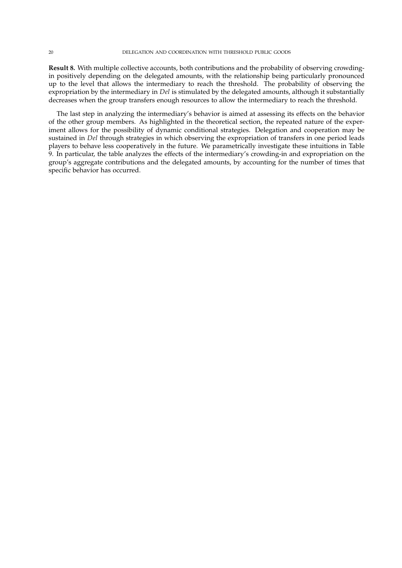**Result 8.** With multiple collective accounts, both contributions and the probability of observing crowdingin positively depending on the delegated amounts, with the relationship being particularly pronounced up to the level that allows the intermediary to reach the threshold. The probability of observing the expropriation by the intermediary in *Del* is stimulated by the delegated amounts, although it substantially decreases when the group transfers enough resources to allow the intermediary to reach the threshold.

The last step in analyzing the intermediary's behavior is aimed at assessing its effects on the behavior of the other group members. As highlighted in the theoretical section, the repeated nature of the experiment allows for the possibility of dynamic conditional strategies. Delegation and cooperation may be sustained in *Del* through strategies in which observing the expropriation of transfers in one period leads players to behave less cooperatively in the future. We parametrically investigate these intuitions in Table 9. In particular, the table analyzes the effects of the intermediary's crowding-in and expropriation on the group's aggregate contributions and the delegated amounts, by accounting for the number of times that specific behavior has occurred.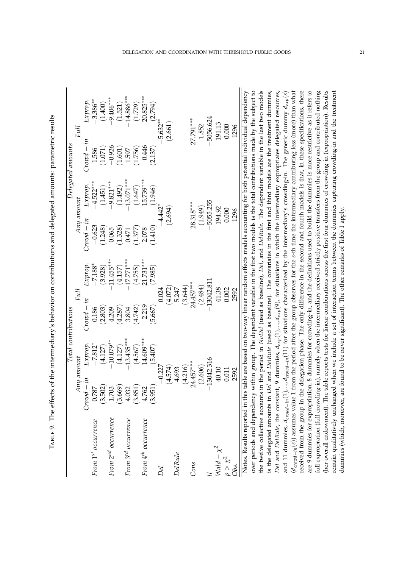|                                 |              |              | Total contributions |              |             |              | Delegated amounts |                                                                                                             |
|---------------------------------|--------------|--------------|---------------------|--------------|-------------|--------------|-------------------|-------------------------------------------------------------------------------------------------------------|
|                                 |              | Any amount   | Full                |              | Any amount  |              |                   | Full                                                                                                        |
|                                 | $Crowd - in$ | Exprop.      | $Crowd - in$        | Exprop.      | $Crow - in$ | Exprop.      | $Crowd - in$      | Exprop.                                                                                                     |
| From 1st occurrence             | 0.787        | $-7.812*$    | 0.186               | $-7.188$ *   | $-0.623$    | $-4.522***$  | 1.586             | $-3.386***$                                                                                                 |
|                                 | (3.502)      | (4.127)      | (2.803)             | (3.928)      | (1.248)     | (1.451)      | (1.071)           | (1.400)                                                                                                     |
| From 2 <sup>nd</sup> occurrence | 1.703        | $-10.079**$  | 4.209               | $-11.455***$ | 0.065       | $-9.821***$  | $-0.926$          | $-9.406***$                                                                                                 |
|                                 | (3.669)      | (4.127)      | (4.287)             | (4.157)      | 1.328)      | (1.492)      | (1.601)           | (1.521)                                                                                                     |
| From 3rd occurrence             | 4.032        | $-13.435***$ | 3.804               | $17.771***$  | 0.471       | $-13.071***$ | 1.597             | $14.886***$                                                                                                 |
|                                 | (3.851)      | (4.567)      | (4.742)             | (4.755)      | 1.377       | (1.647)      | (1.756)           | (1.729)                                                                                                     |
| From 4 <sup>th</sup> occurrence | 4.762        | $-14.609***$ | $-2.219$            | $-21.731***$ | 2.078       | $-15.739***$ | $-0.446$          | 20.825 ***                                                                                                  |
|                                 | (3.951)      | (5.407)      | (5.667)             | (7.985)      | (1.410)     | (1.946)      | (2.137)           | (2.794)                                                                                                     |
| Del                             |              | $-0.227$     |                     | 0.024        |             | $4.442*$     |                   | $5.632**$                                                                                                   |
|                                 |              | (4.574)      | (4.072)             |              | (2.694)     |              |                   | (2.661)                                                                                                     |
| DelRule                         |              | 4.693        |                     | 5.247        |             |              |                   |                                                                                                             |
|                                 |              | (4.216)      | (3.644)             |              |             |              |                   |                                                                                                             |
| Cons                            | 24.457***    |              |                     | 24.457***    | $28.318***$ |              |                   | 27.791 ***                                                                                                  |
|                                 |              | (2.606)      | (2.484)             |              | (1.949)     |              |                   | 1.852                                                                                                       |
|                                 |              | $-13042.316$ | $-13042.811$        |              |             | $-5055.255$  |                   | $-5056.624$                                                                                                 |
| Wald $-\chi^2$                  |              | 40.10        |                     | 41.38        | 194.92      |              |                   | 191.13                                                                                                      |
| $p > \chi^2$                    |              | 0.011        |                     | 0.002        | 0.000       |              |                   | 0.000                                                                                                       |
| Obs.                            |              | 2592         |                     | 2592         |             | 1296         |                   | 1296                                                                                                        |
| Notes. Results reported in this |              |              |                     |              |             |              |                   | table are based on two-way linear random effects models accounting for both potential individual dependency |

TABLE 9. The effects of the intermediary's behavior on contributions and delegated amounts: parametric results Table 9. The effects of the intermediary's behavior on contributions and delegated amounts: parametric results

over periods and dependency within group. The dependent variable in the first two models is the total contributions made by the subject to the twelve collective accounts in the period in NoDel (used as baseline), Del, and DelRule. The dependent variable in the last two models (*d<sub>crowd</sub><sub>−in</sub>*(s)) assumes value 1 from the period after the group observes for the s-th time the intermediary contributing less (more) than what received from the group in the delegation phase. The only difference in t are 9 dummies for expropriation, 8 dummies for crowding-in, and the definitions used to build the dummies is more restrictive as it refers to her overall endowment). The table reports tests for linear combinations across the first four dummies of crowding-in (expropriation). Results is the delegated amounts in Del and DelRule (used as baseline). The covariates in the first and third models are the treatment dummies, Del and DelRule, the constant, 9 dummies,  $d_{exp}(1)$ , ...,  $d_{exp}(9)$ , for situations in which the intermediary expropriates delegated resources, and 11 dummies,  $d_{croud-in}(1)$ , ...,  $d_{croud-in}(11)$  for situations characterized by the intermediary's crowding-in. The generic dummy  $d_{exp}(s)$ full expropration (full crowding-in), namely when the intermediary received strictly positive transfers from the group and contributed nothing remain qualitatively unchanged when we include a set of interaction terms between the dummies capturing crowding-in and the treatment Notes. Results reported in this table are based on two-way linear random effects models accounting for both potential individual dependency over periods and dependency within group. The dependent variable in the first two models is the total contributions made by the subject to the twelve collective accounts in the period in *NoDel* (used as baseline), *Del*, and *DelRule*. The dependent variable in the last two models is the delegated amounts in *Del* and *DelRule* (used as baseline). The covariates in the first and third models are the treatment dummies, *Del* and *DelRule*, the constant, 9 dummies, *dexp*(1), ..., *dexp*(9), for situations in which the intermediary expropriates delegated resources, (11) for situations characterized by the intermediary's crowding-in. The generic dummy *dexp*(*s*) (*s*)) assumes value 1 from the period after the group observes for the *s*-th time the intermediary contributing less (more) than what received from the group in the delegation phase. The only difference in the second and fourth models is that, in these specifications, there are 9 dummies for expropriation, 8 dummies for crowding-in, and the definitions used to build the dummies is more restrictive as it refers to full expropration (full crowding-in), namely when the intermediary received strictly positive transfers from the group and contributed nothing (her overall endowment). The table reports tests for linear combinations across the first four dummies of crowding-in (expropriation). Results remain qualitatively unchanged when we include a set of interaction terms between the dummies capturing crowding-in and the treatment dummies (which, moreover, are found to be never significant). The other remarks of Table 1 apply. dummies (which, moreover, are found to be never significant). The other remarks of Table 1 apply.and 11 dummies, *dcrowd*−*in*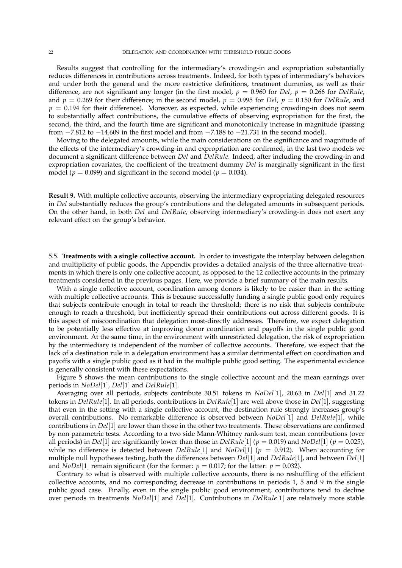Results suggest that controlling for the intermediary's crowding-in and expropriation substantially reduces differences in contributions across treatments. Indeed, for both types of intermediary's behaviors and under both the general and the more restrictive definitions, treatment dummies, as well as their difference, are not significant any longer (in the first model, *p* = 0.960 for *Del*, *p* = 0.266 for *DelRule*, and  $p = 0.269$  for their difference; in the second model,  $p = 0.995$  for *Del*,  $p = 0.150$  for *DelRule*, and  $p = 0.194$  for their difference). Moreover, as expected, while experiencing crowding-in does not seem to substantially affect contributions, the cumulative effects of observing expropriation for the first, the second, the third, and the fourth time are significant and monotonically increase in magnitude (passing from −7.812 to −14.609 in the first model and from −7.188 to −21.731 in the second model).

Moving to the delegated amounts, while the main considerations on the significance and magnitude of the effects of the intermediary's crowding-in and expropriation are confirmed, in the last two models we document a significant difference between *Del* and *DelRule*. Indeed, after including the crowding-in and expropriation covariates, the coefficient of the treatment dummy *Del* is marginally significant in the first model ( $p = 0.099$ ) and significant in the second model ( $p = 0.034$ ).

**Result 9.** With multiple collective accounts, observing the intermediary expropriating delegated resources in *Del* substantially reduces the group's contributions and the delegated amounts in subsequent periods. On the other hand, in both *Del* and *DelRule*, observing intermediary's crowding-in does not exert any relevant effect on the group's behavior.

5.5. **Treatments with a single collective account.** In order to investigate the interplay between delegation and multiplicity of public goods, the Appendix provides a detailed analysis of the three alternative treatments in which there is only one collective account, as opposed to the 12 collective accounts in the primary treatments considered in the previous pages. Here, we provide a brief summary of the main results.

With a single collective account, coordination among donors is likely to be easier than in the setting with multiple collective accounts. This is because successfully funding a single public good only requires that subjects contribute enough in total to reach the threshold; there is no risk that subjects contribute enough to reach a threshold, but inefficiently spread their contributions out across different goods. It is this aspect of miscoordination that delegation most-directly addresses. Therefore, we expect delegation to be potentially less effective at improving donor coordination and payoffs in the single public good environment. At the same time, in the environment with unrestricted delegation, the risk of expropriation by the intermediary is independent of the number of collective accounts. Therefore, we expect that the lack of a destination rule in a delegation environment has a similar detrimental effect on coordination and payoffs with a single public good as it had in the multiple public good setting. The experimental evidence is generally consistent with these expectations.

Figure 5 shows the mean contributions to the single collective account and the mean earnings over periods in *NoDel*[1], *Del*[1] and *DelRule*[1].

Averaging over all periods, subjects contribute 30.51 tokens in *NoDel*[1], 20.63 in *Del*[1] and 31.22 tokens in *DelRule*[1]. In all periods, contributions in *DelRule*[1] are well above those in *Del*[1], suggesting that even in the setting with a single collective account, the destination rule strongly increases group's overall contributions. No remarkable difference is observed between *NoDel*[1] and *DelRule*[1], while contributions in *Del*[1] are lower than those in the other two treatments. These observations are confirmed by non parametric tests. According to a two side Mann-Whitney rank-sum test, mean contributions (over all periods) in *Del*[1] are significantly lower than those in *DelRule*[1] (*p* = 0.019) and *NoDel*[1] (*p* = 0.025), while no difference is detected between *DelRule*[1] and *NoDel*[1] (*p* = 0.912). When accounting for multiple null hypotheses testing, both the differences between *Del*[1] and *DelRule*[1], and between *Del*[1] and *NoDel*[1] remain significant (for the former:  $p = 0.017$ ; for the latter:  $p = 0.032$ ).

Contrary to what is observed with multiple collective accounts, there is no reshuffling of the efficient collective accounts, and no corresponding decrease in contributions in periods 1, 5 and 9 in the single public good case. Finally, even in the single public good environment, contributions tend to decline over periods in treatments *NoDel*[1] and *Del*[1]. Contributions in *DelRule*[1] are relatively more stable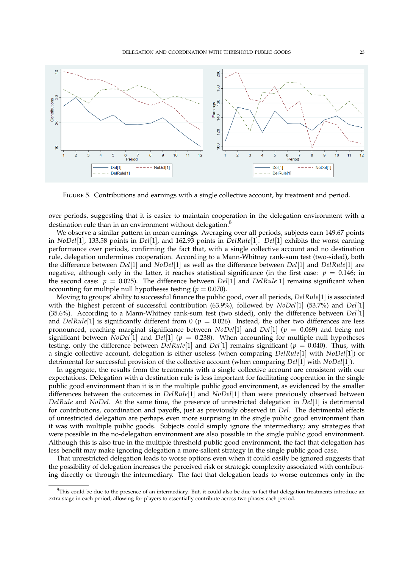

FIGURE 5. Contributions and earnings with a single collective account, by treatment and period.

over periods, suggesting that it is easier to maintain cooperation in the delegation environment with a destination rule than in an environment without delegation. $8$ 

We observe a similar pattern in mean earnings. Averaging over all periods, subjects earn 149.67 points in *NoDel*[1], 133.58 points in *Del*[1], and 162.93 points in *DelRule*[1]. *Del*[1] exhibits the worst earning performance over periods, confirming the fact that, with a single collective account and no destination rule, delegation undermines cooperation. According to a Mann-Whitney rank-sum test (two-sided), both the difference between *Del*[1] and *NoDel*[1] as well as the difference between *Del*[1] and *DelRule*[1] are negative, although only in the latter, it reaches statistical significance (in the first case:  $p = 0.146$ ; in the second case:  $p = 0.025$ ). The difference between *Del*[1] and *DelRule*[1] remains significant when accounting for multiple null hypotheses testing ( $p = 0.070$ ).

Moving to groups' ability to successful finance the public good, over all periods, *DelRule*[1] is associated with the highest percent of successful contribution (63.9%), followed by *NoDel*[1] (53.7%) and *Del*[1] (35.6%). According to a Mann-Whitney rank-sum test (two sided), only the difference between *Del*[1] and *DelRule*[1] is significantly different from 0 ( $p = 0.026$ ). Instead, the other two differences are less pronounced, reaching marginal significance between *NoDel*[1] and *Del*[1] (*p* = 0.069) and being not significant between *NoDel*<sup>[1]</sup> and *Del*<sup>[1]</sup> ( $p = 0.238$ ). When accounting for multiple null hypotheses testing, only the difference between  $DelRule[1]$  and  $Del[1]$  remains significant ( $p = 0.040$ ). Thus, with a single collective account, delegation is either useless (when comparing *DelRule*[1] with *NoDel*[1]) or detrimental for successful provision of the collective account (when comparing *Del*[1] with *NoDel*[1]).

In aggregate, the results from the treatments with a single collective account are consistent with our expectations. Delegation with a destination rule is less important for facilitating cooperation in the single public good environment than it is in the multiple public good environment, as evidenced by the smaller differences between the outcomes in *DelRule*[1] and *NoDel*[1] than were previously observed between *DelRule* and *NoDel*. At the same time, the presence of unrestricted delegation in *Del*[1] is detrimental for contributions, coordination and payoffs, just as previously observed in *Del*. The detrimental effects of unrestricted delegation are perhaps even more surprising in the single public good environment than it was with multiple public goods. Subjects could simply ignore the intermediary; any strategies that were possible in the no-delegation environment are also possible in the single public good environment. Although this is also true in the multiple threshold public good environment, the fact that delegation has less benefit may make ignoring delegation a more-salient strategy in the single public good case.

That unrestricted delegation leads to worse options even when it could easily be ignored suggests that the possibility of delegation increases the perceived risk or strategic complexity associated with contributing directly or through the intermediary. The fact that delegation leads to worse outcomes only in the

 ${}^{8}$ This could be due to the presence of an intermediary. But, it could also be due to fact that delegation treatments introduce an extra stage in each period, allowing for players to essentially contribute across two phases each period.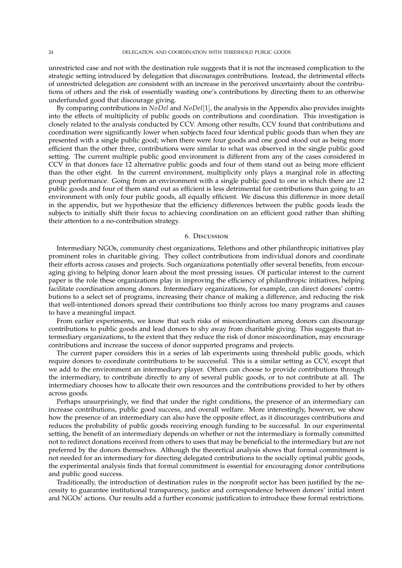unrestricted case and not with the destination rule suggests that it is not the increased complication to the strategic setting introduced by delegation that discourages contributions. Instead, the detrimental effects of unrestricted delegation are consistent with an increase in the perceived uncertainty about the contributions of others and the risk of essentially wasting one's contributions by directing them to an otherwise underfunded good that discourage giving.

By comparing contributions in *NoDel* and *NoDel*[1], the analysis in the Appendix also provides insights into the effects of multiplicity of public goods on contributions and coordination. This investigation is closely related to the analysis conducted by CCV. Among other results, CCV found that contributions and coordination were significantly lower when subjects faced four identical public goods than when they are presented with a single public good; when there were four goods and one good stood out as being more efficient than the other three, contributions were similar to what was observed in the single public good setting. The current multiple public good environment is different from any of the cases considered in CCV in that donors face 12 alternative public goods and four of them stand out as being more efficient than the other eight. In the current environment, multiplicity only plays a marginal role in affecting group performance. Going from an environment with a single public good to one in which there are 12 public goods and four of them stand out as efficient is less detrimental for contributions than going to an environment with only four public goods, all equally efficient. We discuss this difference in more detail in the appendix, but we hypothesize that the efficiency differences between the public goods leads the subjects to initially shift their focus to achieving coordination on an efficient good rather than shifting their attention to a no-contribution strategy.

#### 6. Discussion

Intermediary NGOs, community chest organizations, Telethons and other philanthropic initiatives play prominent roles in charitable giving. They collect contributions from individual donors and coordinate their efforts across causes and projects. Such organizations potentially offer several benefits, from encouraging giving to helping donor learn about the most pressing issues. Of particular interest to the current paper is the role these organizations play in improving the efficiency of philanthropic initiatives, helping facilitate coordination among donors. Intermediary organizations, for example, can direct donors' contributions to a select set of programs, increasing their chance of making a difference, and reducing the risk that well-intentioned donors spread their contributions too thinly across too many programs and causes to have a meaningful impact.

From earlier experiments, we know that such risks of miscoordination among donors can discourage contributions to public goods and lead donors to shy away from charitable giving. This suggests that intermediary organizations, to the extent that they reduce the risk of donor miscoordination, may encourage contributions and increase the success of donor supported programs and projects.

The current paper considers this in a series of lab experiments using threshold public goods, which require donors to coordinate contributions to be successful. This is a similar setting as CCV, except that we add to the environment an intermediary player. Others can choose to provide contributions through the intermediary, to contribute directly to any of several public goods, or to not contribute at all. The intermediary chooses how to allocate their own resources and the contributions provided to her by others across goods.

Perhaps unsurprisingly, we find that under the right conditions, the presence of an intermediary can increase contributions, public good success, and overall welfare. More interestingly, however, we show how the presence of an intermediary can also have the opposite effect, as it discourages contributions and reduces the probability of public goods receiving enough funding to be successful. In our experimental setting, the benefit of an intermediary depends on whether or not the intermediary is formally committed not to redirect donations received from others to uses that may be beneficial to the intermediary but are not preferred by the donors themselves. Although the theoretical analysis shows that formal commitment is not needed for an intermediary for directing delegated contributions to the socially optimal public goods, the experimental analysis finds that formal commitment is essential for encouraging donor contributions and public good success.

Traditionally, the introduction of destination rules in the nonprofit sector has been justified by the necessity to guarantee institutional transparency, justice and correspondence between donors' initial intent and NGOs' actions. Our results add a further economic justification to introduce these formal restrictions.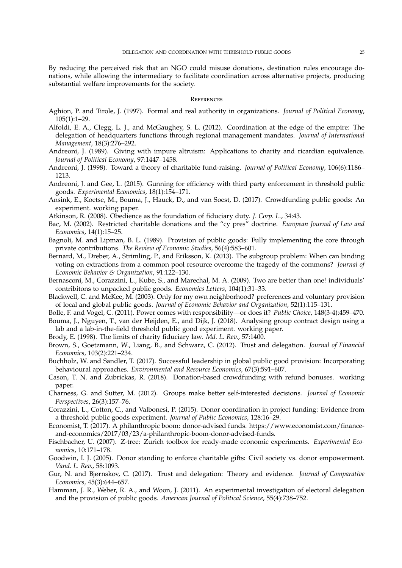By reducing the perceived risk that an NGO could misuse donations, destination rules encourage donations, while allowing the intermediary to facilitate coordination across alternative projects, producing substantial welfare improvements for the society.

#### **REFERENCES**

- Aghion, P. and Tirole, J. (1997). Formal and real authority in organizations. *Journal of Political Economy*, 105(1):1–29.
- Alfoldi, E. A., Clegg, L. J., and McGaughey, S. L. (2012). Coordination at the edge of the empire: The delegation of headquarters functions through regional management mandates. *Journal of International Management*, 18(3):276–292.
- Andreoni, J. (1989). Giving with impure altruism: Applications to charity and ricardian equivalence. *Journal of Political Economy*, 97:1447–1458.
- Andreoni, J. (1998). Toward a theory of charitable fund-raising. *Journal of Political Economy*, 106(6):1186– 1213.
- Andreoni, J. and Gee, L. (2015). Gunning for efficiency with third party enforcement in threshold public goods. *Experimental Economics*, 18(1):154–171.
- Ansink, E., Koetse, M., Bouma, J., Hauck, D., and van Soest, D. (2017). Crowdfunding public goods: An experiment. working paper.
- Atkinson, R. (2008). Obedience as the foundation of fiduciary duty. *J. Corp. L.*, 34:43.
- Bac, M. (2002). Restricted charitable donations and the "cy pres" doctrine. *European Journal of Law and Economics*, 14(1):15–25.
- Bagnoli, M. and Lipman, B. L. (1989). Provision of public goods: Fully implementing the core through private contributions. *The Review of Economic Studies*, 56(4):583–601.
- Bernard, M., Dreber, A., Strimling, P., and Eriksson, K. (2013). The subgroup problem: When can binding voting on extractions from a common pool resource overcome the tragedy of the commons? *Journal of Economic Behavior & Organization*, 91:122–130.
- Bernasconi, M., Corazzini, L., Kube, S., and Marechal, M. A. (2009). Two are better than one! individuals' contribitons to unpacked public goods. *Economics Letters*, 104(1):31–33.
- Blackwell, C. and McKee, M. (2003). Only for my own neighborhood? preferences and voluntary provision of local and global public goods. *Journal of Economic Behavior and Organization*, 52(1):115–131.
- Bolle, F. and Vogel, C. (2011). Power comes with responsibility—or does it? *Public Choice*, 148(3-4):459–470.
- Bouma, J., Nguyen, T., van der Heijden, E., and Dijk, J. (2018). Analysing group contract design using a lab and a lab-in-the-field threshold public good experiment. working paper.
- Brody, E. (1998). The limits of charity fiduciary law. *Md. L. Rev.*, 57:1400.
- Brown, S., Goetzmann, W., Liang, B., and Schwarz, C. (2012). Trust and delegation. *Journal of Financial Economics*, 103(2):221–234.
- Buchholz, W. and Sandler, T. (2017). Successful leadership in global public good provision: Incorporating behavioural approaches. *Environmental and Resource Economics*, 67(3):591–607.
- Cason, T. N. and Zubrickas, R. (2018). Donation-based crowdfunding with refund bonuses. working paper.
- Charness, G. and Sutter, M. (2012). Groups make better self-interested decisions. *Journal of Economic Perspectives*, 26(3):157–76.
- Corazzini, L., Cotton, C., and Valbonesi, P. (2015). Donor coordination in project funding: Evidence from a threshold public goods experiment. *Journal of Public Economics*, 128:16–29.
- Economist, T. (2017). A philanthropic boom: donor-advised funds. https://www.economist.com/financeand-economics/2017/03/23/a-philanthropic-boom-donor-advised-funds.
- Fischbacher, U. (2007). Z-tree: Zurich toolbox for ready-made economic experiments. *Experimental Economics*, 10:171–178.
- Goodwin, I. J. (2005). Donor standing to enforce charitable gifts: Civil society vs. donor empowerment. *Vand. L. Rev.*, 58:1093.
- Gur, N. and Bjørnskov, C. (2017). Trust and delegation: Theory and evidence. *Journal of Comparative Economics*, 45(3):644–657.
- Hamman, J. R., Weber, R. A., and Woon, J. (2011). An experimental investigation of electoral delegation and the provision of public goods. *American Journal of Political Science*, 55(4):738–752.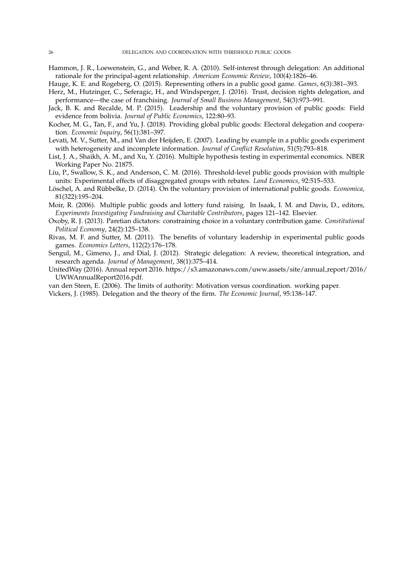- Hammon, J. R., Loewenstein, G., and Weber, R. A. (2010). Self-interest through delegation: An additional rationale for the principal-agent relationship. *American Economic Review*, 100(4):1826–46.
- Hauge, K. E. and Rogeberg, O. (2015). Representing others in a public good game. *Games*, 6(3):381–393.
- Herz, M., Hutzinger, C., Seferagic, H., and Windsperger, J. (2016). Trust, decision rights delegation, and performance—the case of franchising. *Journal of Small Business Management*, 54(3):973–991.
- Jack, B. K. and Recalde, M. P. (2015). Leadership and the voluntary provision of public goods: Field evidence from bolivia. *Journal of Public Economics*, 122:80–93.
- Kocher, M. G., Tan, F., and Yu, J. (2018). Providing global public goods: Electoral delegation and cooperation. *Economic Inquiry*, 56(1):381–397.
- Levati, M. V., Sutter, M., and Van der Heijden, E. (2007). Leading by example in a public goods experiment with heterogeneity and incomplete information. *Journal of Conflict Resolution*, 51(5):793–818.
- List, J. A., Shaikh, A. M., and Xu, Y. (2016). Multiple hypothesis testing in experimental economics. NBER Working Paper No. 21875.
- Liu, P., Swallow, S. K., and Anderson, C. M. (2016). Threshold-level public goods provision with multiple units: Experimental effects of disaggregated groups with rebates. *Land Economics*, 92:515–533.
- Löschel, A. and Rübbelke, D. (2014). On the voluntary provision of international public goods. *Economica*, 81(322):195–204.
- Moir, R. (2006). Multiple public goods and lottery fund raising. In Isaak, I. M. and Davis, D., editors, *Experiments Investigating Fundraising and Charitable Contributors*, pages 121–142. Elsevier.
- Oxoby, R. J. (2013). Paretian dictators: constraining choice in a voluntary contribution game. *Constitutional Political Economy*, 24(2):125–138.
- Rivas, M. F. and Sutter, M. (2011). The benefits of voluntary leadership in experimental public goods games. *Economics Letters*, 112(2):176–178.
- Sengul, M., Gimeno, J., and Dial, J. (2012). Strategic delegation: A review, theoretical integration, and research agenda. *Journal of Management*, 38(1):375–414.
- UnitedWay (2016). Annual report 2016. https://s3.amazonaws.com/uww.assets/site/annual report/2016/ UWWAnnualReport2016.pdf.
- van den Steen, E. (2006). The limits of authority: Motivation versus coordination. working paper.
- Vickers, J. (1985). Delegation and the theory of the firm. *The Economic Journal*, 95:138–147.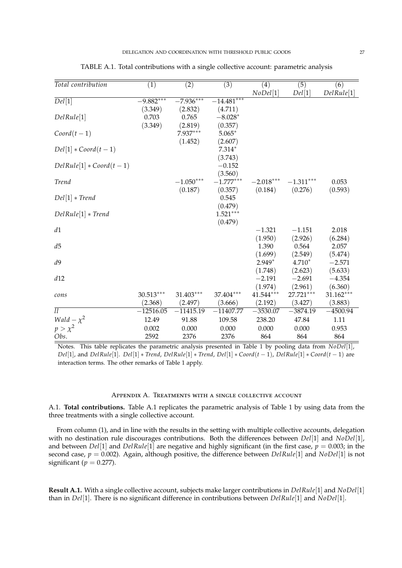| Total contribution         | $\overline{(1)}$ | $\overline{(2)}$ | $\overline{(3)}$        | (4)         | $\overline{(5)}$ | (6)        |
|----------------------------|------------------|------------------|-------------------------|-------------|------------------|------------|
|                            |                  |                  |                         | NoDel[1]    | Del[1]           | DelRule[1] |
| $\overline{Del[1]}$        | $-9.882***$      | $-7.936***$      | $-\overline{14.481***}$ |             |                  |            |
|                            | (3.349)          | (2.832)          | (4.711)                 |             |                  |            |
| DelRule[1]                 | 0.703            | 0.765            | $-8.028*$               |             |                  |            |
|                            | (3.349)          | (2.819)          | (0.357)                 |             |                  |            |
| $Coord(t-1)$               |                  | 7.937***         | $5.065*$                |             |                  |            |
|                            |                  | (1.452)          | (2.607)                 |             |                  |            |
| $Del[1]*Coord(t-1)$        |                  |                  | $7.314*$                |             |                  |            |
|                            |                  |                  | (3.743)                 |             |                  |            |
| $DelRule[1]*Coord(t-1)$    |                  |                  | $-0.152$                |             |                  |            |
|                            |                  |                  | (3.560)                 |             |                  |            |
| <b>Trend</b>               |                  | $-1.050***$      | $-1.777***$             | $-2.018***$ | $-1.311***$      | 0.053      |
|                            |                  | (0.187)          | (0.357)                 | (0.184)     | (0.276)          | (0.593)    |
| $Del[1]*Trend$             |                  |                  | 0.545                   |             |                  |            |
|                            |                  |                  | (0.479)                 |             |                  |            |
| $DelRule[1]*Trend$         |                  |                  | $1.521***$              |             |                  |            |
|                            |                  |                  | (0.479)                 |             |                  |            |
| d1                         |                  |                  |                         | $-1.321$    | $-1.151$         | 2.018      |
|                            |                  |                  |                         | (1.950)     | (2.926)          | (6.284)    |
| d5                         |                  |                  |                         | 1.390       | 0.564            | 2.057      |
|                            |                  |                  |                         | (1.699)     | (2.549)          | (5.474)    |
| d9                         |                  |                  |                         | $2.949*$    | $4.710*$         | $-2.571$   |
|                            |                  |                  |                         | (1.748)     | (2.623)          | (5.633)    |
| d12                        |                  |                  |                         | $-2.191$    | $-2.691$         | $-4.354$   |
|                            |                  |                  |                         | (1.974)     | (2.961)          | (6.360)    |
| cons                       | 30.513***        | 31.403***        | 37.404***               | 41.544***   | 27.721***        | 31.162***  |
|                            | (2.368)          | (2.497)          | (3.666)                 | (2.192)     | (3.427)          | (3.883)    |
| $\overline{l}\overline{l}$ | $-12516.05$      | $-11415.19$      | $-11407.77$             | $-3530.07$  | $-3874.19$       | $-4500.94$ |
| Wald $-\chi^2$             | 12.49            | 91.88            | 109.58                  | 238.20      | 47.84            | 1.11       |
| $p > \chi^2$               | 0.002            | 0.000            | 0.000                   | 0.000       | 0.000            | 0.953      |
| Obs.                       | 2592             | 2376             | 2376                    | 864         | 864              | 864        |

TABLE A.1. Total contributions with a single collective account: parametric analysis

Notes. This table replicates the parametric analysis presented in Table 1 by pooling data from *NoDel*[1], *Del*[1], and *DelRule*[1]. *Del*[1] ∗ *Trend*, *DelRule*[1] ∗ *Trend*, *Del*[1] ∗ *Coord*(*t* − 1), *DelRule*[1] ∗ *Coord*(*t* − 1) are interaction terms. The other remarks of Table 1 apply.

#### Appendix A. Treatments with a single collective account

A.1. **Total contributions.** Table A.1 replicates the parametric analysis of Table 1 by using data from the three treatments with a single collective account.

From column (1), and in line with the results in the setting with multiple collective accounts, delegation with no destination rule discourages contributions. Both the differences between *Del*[1] and *NoDel*[1], and between *Del*[1] and *DelRule*<sup>[1]</sup> are negative and highly significant (in the first case,  $p = 0.003$ ; in the second case, *p* = 0.002). Again, although positive, the difference between *DelRule*[1] and *NoDel*[1] is not significant ( $p = 0.277$ ).

**Result A.1.** With a single collective account, subjects make larger contributions in *DelRule*[1] and *NoDel*[1] than in *Del*[1]. There is no significant difference in contributions between *DelRule*[1] and *NoDel*[1].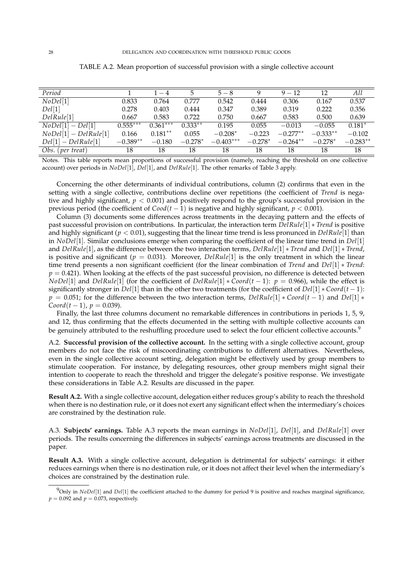| Period                  |            | $1 - 4$    | 5         | $5 - 8$     | Q         | $9 - 12$   | 12         | All        |
|-------------------------|------------|------------|-----------|-------------|-----------|------------|------------|------------|
| NoDel[1]                | 0.833      | 0.764      | 0.777     | 0.542       | 0.444     | 0.306      | 0.167      | 0.537      |
| Del[1]                  | 0.278      | 0.403      | 0.444     | 0.347       | 0.389     | 0.319      | 0.222      | 0.356      |
| DelRule[1]              | 0.667      | 0.583      | 0.722     | 0.750       | 0.667     | 0.583      | 0.500      | 0.639      |
| $NoDel[1] - Del[1]$     | $0.555***$ | $0.361***$ | $0.333**$ | 0.195       | 0.055     | $-0.013$   | $-0.055$   | $0.181*$   |
| $NoDel[1] - DelRule[1]$ | 0.166      | $0.181**$  | 0.055     | $-0.208*$   | $-0.223$  | $-0.277**$ | $-0.333**$ | $-0.102$   |
| $Del[1]-DelRule[1]$     | $-0.389**$ | $-0.180$   | $-0.278*$ | $-0.403***$ | $-0.278*$ | $-0.264**$ | $-0.278*$  | $-0.283**$ |
| $Obs.$ (per treat)      | 18         | 18         | 18        | 18          | 18        | 18         | 18         | 18         |

TABLE A.2. Mean proportion of successful provision with a single collective account

Notes. This table reports mean proportions of successful provision (namely, reaching the threshold on one collective account) over periods in *NoDel*[1], *Del*[1], and *DelRule*[1]. The other remarks of Table 3 apply.

Concerning the other determinants of individual contributions, column (2) confirms that even in the setting with a single collective, contributions decline over repetitions (the coefficient of *Trend* is negative and highly significant, *p* < 0.001) and positively respond to the group's successful provision in the previous period (the coefficient of  $\text{Cood}(t-1)$ ) is negative and highly significant,  $p < 0.001$ ).

Column (3) documents some differences across treatments in the decaying pattern and the effects of past successful provision on contributions. In particular, the interaction term *DelRule*[1] ∗ *Trend* is positive and highly significant (*p* < 0.01), suggesting that the linear time trend is less pronunced in *DelRule*[1] than in *NoDel*[1]. Similar conclusions emerge when comparing the coefficient of the linear time trend in *Del*[1] and *DelRule*[1], as the difference between the two interaction terms, *DelRule*[1] ∗ *Trend* and *Del*[1] ∗ *Trend*, is positive and significant ( $p = 0.031$ ). Moreover, *DelRule*[1] is the only treatment in which the linear time trend presents a non significant coefficient (for the linear combination of *Trend* and *Del*[1] ∗ *Trend*:  $p = 0.421$ ). When looking at the effects of the past successful provision, no difference is detected between *NoDel*[1] and *DelRule*[1] (for the coefficient of *DelRule*[1]  $\ast$  *Coord*(*t* − 1): *p* = 0.966), while the effect is significantly stronger in *Del*[1] than in the other two treatments (for the coefficient of *Del*[1] ∗ *Coord*(*t* − 1): *p* = 0.051; for the difference between the two interaction terms, *DelRule*[1] ∗ *Coord*(*t* − 1) and *Del*[1] ∗ *Coord*( $t$  − 1),  $p$  = 0.039).

Finally, the last three columns document no remarkable differences in contributions in periods 1, 5, 9, and 12, thus confirming that the effects documented in the setting with multiple collective accounts can be genuinely attributed to the reshuffling procedure used to select the four efficient collective accounts.<sup>9</sup>

A.2. **Successful provision of the collective account.** In the setting with a single collective account, group members do not face the risk of miscoordinating contributions to different alternatives. Nevertheless, even in the single collective account setting, delegation might be effectively used by group members to stimulate cooperation. For instance, by delegating resources, other group members might signal their intention to cooperate to reach the threshold and trigger the delegate's positive response. We investigate these considerations in Table A.2. Results are discussed in the paper.

**Result A.2.** With a single collective account, delegation either reduces group's ability to reach the threshold when there is no destination rule, or it does not exert any significant effect when the intermediary's choices are constrained by the destination rule.

A.3. **Subjects' earnings.** Table A.3 reports the mean earnings in *NoDel*[1], *Del*[1], and *DelRule*[1] over periods. The results concerning the differences in subjects' earnings across treatments are discussed in the paper.

**Result A.3.** With a single collective account, delegation is detrimental for subjects' earnings: it either reduces earnings when there is no destination rule, or it does not affect their level when the intermediary's choices are constrained by the destination rule.

<sup>9</sup>Only in *NoDel*[1] and *Del*[1] the coefficient attached to the dummy for period 9 is positive and reaches marginal significance,  $p = 0.092$  and  $p = 0.073$ , respectively.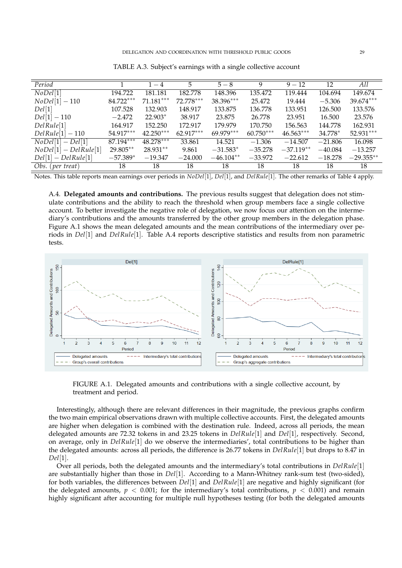| Period                  |            | $1 - 4$     | 5           | $5 - 8$     | 9           | $9 - 12$    | 12        | All          |
|-------------------------|------------|-------------|-------------|-------------|-------------|-------------|-----------|--------------|
| NoDel[1]                | 194.722    | 181.181     | 182.778     | 148.396     | 135.472     | 119.444     | 104.694   | 149.674      |
| $NoDel[1] - 110$        | 84.722***  | $71.181***$ | 72.778***   | 38.396***   | 25.472      | 19.444      | $-5.306$  | 39.674***    |
| Del[1]                  | 107.528    | 132.903     | 148.917     | 133.875     | 136.778     | 133.951     | 126.500   | 133.576      |
| $Del[1] - 110$          | $-2.472$   | $22.903*$   | 38.917      | 23.875      | 26.778      | 23.951      | 16.500    | 23.576       |
| DelRule[1]              | 164.917    | 152.250     | 172.917     | 179.979     | 170.750     | 156.563     | 144.778   | 162.931      |
| $DelRule[1] - 110$      | 54.917***  | $42.250***$ | $62.917***$ | $69.979***$ | $60.750***$ | $46.563***$ | 34.778*   | 52.931***    |
| $NoDel[1]-Del[1]$       | 87.194***  | 48.278***   | 33.861      | 14.521      | $-1.306$    | $-14.507$   | $-21.806$ | 16.098       |
| $NoDel[1] - DelRule[1]$ | 29.805**   | 28.931**    | 9.861       | $-31.583*$  | $-35.278$   | $-37.119**$ | $-40.084$ | $-13.257$    |
| $Del[1]-DelRule[1]$     | $-57.389*$ | $-19.347$   | $-24.000$   | $-46.104**$ | $-33.972$   | $-22.612$   | $-18.278$ | $-29.355***$ |
| Obs. (per treat)        | 18         | 18          | 18          | 18          | 18          | 18          | 18        | 18           |

TABLE A.3. Subject's earnings with a single collective account

Notes. This table reports mean earnings over periods in *NoDel*[1], *Del*[1], and *DelRule*[1]. The other remarks of Table 4 apply.

A.4. **Delegated amounts and contributions.** The previous results suggest that delegation does not stimulate contributions and the ability to reach the threshold when group members face a single collective account. To better investigate the negative role of delegation, we now focus our attention on the intermediary's contributions and the amounts transferred by the other group members in the delegation phase. Figure A.1 shows the mean delegated amounts and the mean contributions of the intermediary over periods in *Del*[1] and *DelRule*[1]. Table A.4 reports descriptive statistics and results from non parametric tests.



FIGURE A.1. Delegated amounts and contributions with a single collective account, by treatment and period.

Interestingly, although there are relevant differences in their magnitude, the previous graphs confirm the two main empirical observations drawn with multiple collective accounts. First, the delegated amounts are higher when delegation is combined with the destination rule. Indeed, across all periods, the mean delegated amounts are 72.32 tokens in and 23.25 tokens in *DelRule*[1] and *Del*[1], respectively. Second, on average, only in *DelRule*[1] do we observe the intermediaries', total contributions to be higher than the delegated amounts: across all periods, the difference is 26.77 tokens in *DelRule*[1] but drops to 8.47 in *Del*[1].

Over all periods, both the delegated amounts and the intermediary's total contributions in *DelRule*[1] are substantially higher than those in *Del*[1]. According to a Mann-Whitney rank-sum test (two-sided), for both variables, the differences between *Del*[1] and *DelRule*[1] are negative and highly significant (for the delegated amounts,  $p < 0.001$ ; for the intermediary's total contributions,  $p < 0.001$ ) and remain highly significant after accounting for multiple null hypotheses testing (for both the delegated amounts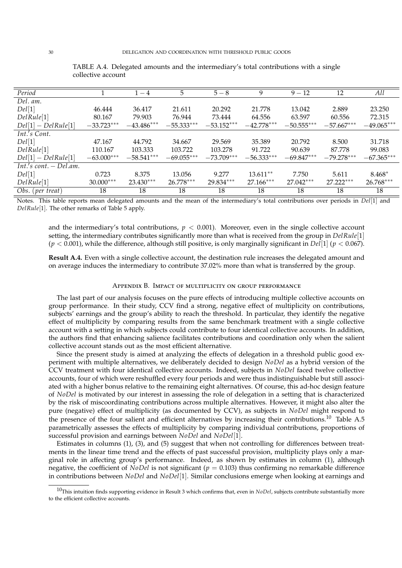| Period                    |              | $1 - 4$      | 5            | $5 - 8$      | 9            | $9 - 12$     | 12           | All          |
|---------------------------|--------------|--------------|--------------|--------------|--------------|--------------|--------------|--------------|
| Del. am.                  |              |              |              |              |              |              |              |              |
| Del[1]                    | 46.444       | 36.417       | 21.611       | 20.292       | 21.778       | 13.042       | 2.889        | 23.250       |
| DelRule[1]                | 80.167       | 79.903       | 76.944       | 73.444       | 64.556       | 63.597       | 60.556       | 72.315       |
| $Del[1]-DelRule[1]$       | $-33.723***$ | $-43.486***$ | $-55.333***$ | $-53.152***$ | $-42.778***$ | $-50.555***$ | $-57.667***$ | $-49.065***$ |
| Int.'s Cont.              |              |              |              |              |              |              |              |              |
| Del[1]                    | 47.167       | 44.792       | 34.667       | 29.569       | 35.389       | 20.792       | 8.500        | 31.718       |
| DelRule[1]                | 110.167      | 103.333      | 103.722      | 103.278      | 91.722       | 90.639       | 87.778       | 99.083       |
| $Del[1]-DelRule[1]$       | $-63.000***$ | $-58.541***$ | $-69.055***$ | $-73.709***$ | $-56.333***$ | $-69.847***$ | $-79.278***$ | $-67.365***$ |
| $Int.'s$ cont. $-Del.am.$ |              |              |              |              |              |              |              |              |
| Del[1]                    | 0.723        | 8.375        | 13.056       | 9.277        | $13.611**$   | 7.750        | 5.611        | $8.468*$     |
| DelRule[1]                | 30.000***    | $23.430***$  | $26.778***$  | 29.834***    | $27.166***$  | $27.042***$  | $27.222***$  | 26.768***    |
| Obs. (per treat)          | 18           | 18           | 18           | 18           | 18           | 18           | 18           | 18           |

TABLE A.4. Delegated amounts and the intermediary's total contributions with a single collective account

Notes. This table reports mean delegated amounts and the mean of the intermediary's total contributions over periods in *Del*[1] and *DelRule*[1]. The other remarks of Table 5 apply.

and the intermediary's total contributions,  $p < 0.001$ ). Moreover, even in the single collective account setting, the intermediary contributes significantly more than what is received from the group in *DelRule*[1]  $(p < 0.001)$ , while the difference, although still positive, is only marginally significant in *Del*<sup>[1]</sup> ( $p < 0.067$ ).

**Result A.4.** Even with a single collective account, the destination rule increases the delegated amount and on average induces the intermediary to contribute 37.02% more than what is transferred by the group.

#### Appendix B. Impact of multiplicity on group performance

The last part of our analysis focuses on the pure effects of introducing multiple collective accounts on group performance. In their study, CCV find a strong, negative effect of multiplicity on contributions, subjects' earnings and the group's ability to reach the threshold. In particular, they identify the negative effect of multiplicity by comparing results from the same benchmark treatment with a single collective account with a setting in which subjects could contribute to four identical collective accounts. In addition, the authors find that enhancing salience facilitates contributions and coordination only when the salient collective account stands out as the most efficient alternative.

Since the present study is aimed at analyzing the effects of delegation in a threshold public good experiment with multiple alternatives, we deliberately decided to design *NoDel* as a hybrid version of the CCV treatment with four identical collective accounts. Indeed, subjects in *NoDel* faced twelve collective accounts, four of which were reshuffled every four periods and were thus indistinguishable but still associated with a higher bonus relative to the remaining eight alternatives. Of course, this ad-hoc design feature of *NoDel* is motivated by our interest in assessing the role of delegation in a setting that is characterized by the risk of miscoordinating contributions across multiple alternatives. However, it might also alter the pure (negative) effect of multiplicity (as documented by CCV), as subjects in *NoDel* might respond to the presence of the four salient and efficient alternatives by increasing their contributions.<sup>10</sup> Table A.5 parametrically assesses the effects of multiplicity by comparing individual contributions, proportions of successful provision and earnings between *NoDel* and *NoDel*[1].

Estimates in columns (1), (3), and (5) suggest that when not controlling for differences between treatments in the linear time trend and the effects of past successful provision, multiplicity plays only a marginal role in affecting group's performance. Indeed, as shown by estimates in column (1), although negative, the coefficient of *NoDel* is not significant ( $p = 0.103$ ) thus confirming no remarkable difference in contributions between *NoDel* and *NoDel*[1]. Similar conclusions emerge when looking at earnings and

<sup>10</sup>This intuition finds supporting evidence in Result 3 which confirms that, even in *NoDel*, subjects contribute substantially more to the efficient collective accounts.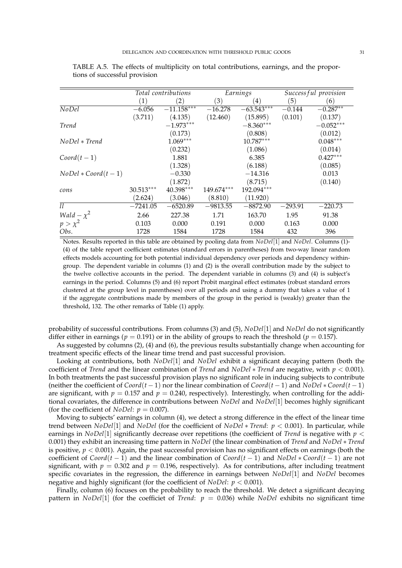|                         |             | Total contributions        |            | Earnings                | Successful provision |             |
|-------------------------|-------------|----------------------------|------------|-------------------------|----------------------|-------------|
|                         | (1)         | $\left( 2\right)$          | (3)        | 4)                      | (5)                  | (6)         |
| $N$ <sub>O</sub> $D$ el | $-6.056$    | $-11.1\overline{58}^{***}$ | $-16.278$  | $-63.54\overline{3***}$ | $-0.144$             | $-0.287**$  |
|                         | (3.711)     | (4.135)                    | (12.460)   | (15.895)                | (0.101)              | (0.137)     |
| Trend                   |             | $-1.973***$                |            | $-8.360***$             |                      | $-0.052***$ |
|                         |             | (0.173)                    |            | (0.808)                 |                      | (0.012)     |
| NoDel * Trend           |             | $1.069***$                 |            | $10.787***$             |                      | $0.048***$  |
|                         |             | (0.232)                    |            | (1.086)                 |                      | (0.014)     |
| $Coord(t-1)$            |             | 1.881                      |            | 6.385                   |                      | $0.427***$  |
|                         |             | (1.328)                    |            | (6.188)                 |                      | (0.085)     |
| $NoDel * Coord(t-1)$    |             | $-0.330$                   |            | $-14.316$               |                      | 0.013       |
|                         |             | (1.872)                    |            | (8.715)                 |                      | (0.140)     |
| cons                    | $30.513***$ | 40.398***                  | 149.674*** | 192.094***              |                      |             |
|                         | (2.624)     | (3.046)                    | (8.810)    | (11.920)                |                      |             |
| ll                      | $-7241.05$  | $-6520.89$                 | $-9813.55$ | $-8872.90$              | $-293.91$            | $-220.73$   |
| Wald $-\chi^2$          | 2.66        | 227.38                     | 1.71       | 163.70                  | 1.95                 | 91.38       |
| $p > \chi^2$            | 0.103       | 0.000                      | 0.191      | 0.000                   | 0.163                | 0.000       |
| Obs.                    | 1728        | 1584                       | 1728       | 1584                    | 432                  | 396         |

TABLE A.5. The effects of multiplicity on total contributions, earnings, and the proportions of successful provision

Notes. Results reported in this table are obtained by pooling data from *NoDel*[1] and *NoDel*. Columns (1)- (4) of the table report coefficient estimates (standard errors in parentheses) from two-way linear random effects models accounting for both potential individual dependency over periods and dependency withingroup. The dependent variable in columns (1) and (2) is the overall contribution made by the subject to the twelve collective accounts in the period. The dependent variable in columns (3) and (4) is subject's earnings in the period. Columns (5) and (6) report Probit marginal effect estimates (robust standard errors clustered at the group level in parentheses) over all periods and using a dummy that takes a value of 1 if the aggregate contributions made by members of the group in the period is (weakly) greater than the threshold, 132. The other remarks of Table (1) apply.

probability of successful contributions. From columns (3) and (5), *NoDel*[1] and *NoDel* do not significantly differ either in earnings ( $p = 0.191$ ) or in the ability of groups to reach the threshold ( $p = 0.157$ ).

As suggested by columns (2), (4) and (6), the previous results substantially change when accounting for treatment specific effects of the linear time trend and past successful provision.

Looking at contributions, both *NoDel*[1] and *NoDel* exhibit a significant decaying pattern (both the coefficient of *Trend* and the linear combination of *Trend* and *NoDel* ∗ *Trend* are negative, with *p* < 0.001). In both treatments the past successful provision plays no significant role in inducing subjects to contribute (neither the coefficient of  $Coord(t-1)$  nor the linear combination of  $Coord(t-1)$  and  $NoDel * Good(t-1)$ are significant, with  $p = 0.157$  and  $p = 0.240$ , respectively). Interestingly, when controlling for the additional covariates, the difference in contributions between *NoDel* and *NoDel*[1] becomes highly significant (for the coefficient of *NoDel*:  $p = 0.007$ ).

Moving to subjects' earnings in column (4), we detect a strong difference in the effect of the linear time trend between *NoDel*[1] and *NoDel* (for the coefficient of *NoDel* ∗ *Trend*: *p* < 0.001). In particular, while earnings in *NoDel*[1] significantly decrease over repetitions (the coefficient of *Trend* is negative with  $p <$ 0.001) they exhibit an increasing time pattern in *NoDel* (the linear combination of *Trend* and *NoDel* ∗ *Trend* is positive,  $p < 0.001$ ). Again, the past successful provision has no significant effects on earnings (both the coefficient of *Coord*(*t* − 1) and the linear combination of *Coord*(*t* − 1) and *NoDel* ∗ *Coord*(*t* − 1) are not significant, with  $p = 0.302$  and  $p = 0.196$ , respectively). As for contributions, after including treatment specific covariates in the regression, the difference in earnings between *NoDel*[1] and *NoDel* becomes negative and highly significant (for the coefficient of *NoDel*: *p* < 0.001).

Finally, column (6) focuses on the probability to reach the threshold. We detect a significant decaying pattern in *NoDel*<sup>[1]</sup> (for the coefficiet of *Trend*:  $p = 0.036$ ) while *NoDel* exhibits no significant time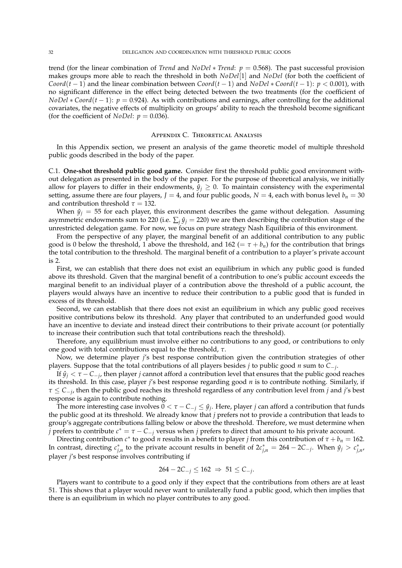trend (for the linear combination of *Trend* and *NoDel* ∗ *Trend*: *p* = 0.568). The past successful provision makes groups more able to reach the threshold in both *NoDel*[1] and *NoDel* (for both the coefficient of *Coord*( $t$  − 1) and the linear combination between *Coord*( $t$  − 1) and *NoDel* \* *Coord*( $t$  − 1):  $p$  < 0.001), with no significant difference in the effect being detected between the two treatments (for the coefficient of *NoDel* ∗ *Coord*(*t* − 1): *p* = 0.924). As with contributions and earnings, after controlling for the additional covariates, the negative effects of multiplicity on groups' ability to reach the threshold become significant (for the coefficient of *NoDel*:  $p = 0.036$ ).

#### Appendix C. Theoretical Analysis

In this Appendix section, we present an analysis of the game theoretic model of multiple threshold public goods described in the body of the paper.

C.1. **One-shot threshold public good game.** Consider first the threshold public good environment without delegation as presented in the body of the paper. For the purpose of theoretical analysis, we initially allow for players to differ in their endowments,  $\hat{y}_i \geq 0$ . To maintain consistency with the experimental setting, assume there are four players,  $J = 4$ , and four public goods,  $N = 4$ , each with bonus level  $b_n = 30$ and contribution threshold  $\tau = 132$ .

When  $\hat{y}_j = 55$  for each player, this environment describes the game without delegation. Assuming asymmetric endowments sum to 220 (i.e.  $\sum_i \hat{y}_i = 220$ ) we are then describing the contribution stage of the unrestricted delegation game. For now, we focus on pure strategy Nash Equilibria of this environment.

From the perspective of any player, the marginal benefit of an additional contribution to any public good is 0 below the threshold, 1 above the threshold, and  $162 (= \tau + b_n)$  for the contribution that brings the total contribution to the threshold. The marginal benefit of a contribution to a player's private account is 2.

First, we can establish that there does not exist an equilibrium in which any public good is funded above its threshold. Given that the marginal benefit of a contribution to one's public account exceeds the marginal benefit to an individual player of a contribution above the threshold of a public account, the players would always have an incentive to reduce their contribution to a public good that is funded in excess of its threshold.

Second, we can establish that there does not exist an equilibrium in which any public good receives positive contributions below its threshold. Any player that contributed to an underfunded good would have an incentive to deviate and instead direct their contributions to their private account (or potentially to increase their contribution such that total contributions reach the threshold).

Therefore, any equilibrium must involve either no contributions to any good, or contributions to only one good with total contributions equal to the threshold, *τ*.

Now, we determine player *j*'s best response contribution given the contribution strategies of other players. Suppose that the total contributions of all players besides *j* to public good *n* sum to *C*−*<sup>j</sup>* .

If  $\hat{y}_j < \tau - C_{-j}$ , then player *j* cannot afford a contribution level that ensures that the public good reaches its threshold. In this case, player *j*'s best response regarding good *n* is to contribute nothing. Similarly, if *τ* ≤ *C*−*<sup>j</sup>* , then the public good reaches its threshold regardless of any contribution level from *j* and *j*'s best response is again to contribute nothing.

The more interesting case involves  $0 < \tau - C_{-j} \leq \hat{y}_j$ . Here, player *j* can afford a contribution that funds the public good at its threshold. We already know that *j* prefers not to provide a contribution that leads to group's aggregate contributions falling below or above the threshold. Therefore, we must determine when *j* prefers to contribute  $c^* = \tau - C_{-j}$  versus when *j* prefers to direct that amount to his private account.

Directing contribution  $c^*$  to good *n* results in a benefit to player *j* from this contribution of  $\tau + b_n = 162$ . In contrast, directing  $c_{j,n}^*$  to the private account results in benefit of  $2c_{j,n}^* = 264 - 2C_{-j}$ . When  $\hat{y}_j > c_{j,n}^*$ player *j*'s best response involves contributing if

$$
264 - 2C_{-j} \le 162 \ \Rightarrow \ 51 \le C_{-j}.
$$

Players want to contribute to a good only if they expect that the contributions from others are at least 51. This shows that a player would never want to unilaterally fund a public good, which then implies that there is an equilibrium in which no player contributes to any good.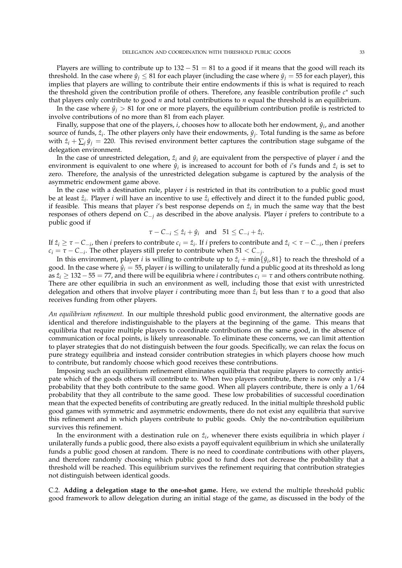Players are willing to contribute up to  $132 - 51 = 81$  to a good if it means that the good will reach its threshold. In the case where  $\hat{y}_i \le 81$  for each player (including the case where  $\hat{y}_i = 55$  for each player), this implies that players are willing to contribute their entire endowments if this is what is required to reach the threshold given the contribution profile of others. Therefore, any feasible contribution profile *c*<sup>∗</sup> such that players only contribute to good *n* and total contributions to *n* equal the threshold is an equilibrium.

In the case where  $\hat{y}_i > 81$  for one or more players, the equilibrium contribution profile is restricted to involve contributions of no more than 81 from each player.

Finally, suppose that one of the players, *i*, chooses how to allocate both her endowment,  $\hat{y}_i$ , and another source of funds,  $\hat{z}_i$ . The other players only have their endowments,  $\hat{y}_j$ . Total funding is the same as before with  $\hat{z}_i + \sum_j \hat{y}_j = 220$ . This revised environment better captures the contribution stage subgame of the delegation environment.

In the case of unrestricted delegation,  $\hat{z}_i$  and  $\hat{y}_i$  are equivalent from the perspective of player *i* and the environment is equivalent to one where  $\hat{y}_i$  is increased to account for both of *i*'s funds and  $\hat{z}_i$  is set to zero. Therefore, the analysis of the unrestricted delegation subgame is captured by the analysis of the asymmetric endowment game above.

In the case with a destination rule, player *i* is restricted in that its contribution to a public good must be at least  $\hat{z}_i$ . Player *i* will have an incentive to use  $\hat{z}_i$  effectively and direct it to the funded public good, if feasible. This means that player *i*'s best response depends on  $\hat{z}_i$  in much the same way that the best responses of others depend on *C*−*<sup>j</sup>* as described in the above analysis. Player *i* prefers to contribute to a public good if

$$
\tau - C_{-i} \leq \hat{z}_i + \hat{y}_i \quad \text{and} \quad 51 \leq C_{-i} + \hat{z}_i.
$$

If  $\hat{z}_i \geq \tau - C_{-i}$ , then *i* prefers to contribute  $c_i = \hat{z}_i$ . If *i* prefers to contribute and  $\hat{z}_i < \tau - C_{-i}$ , then *i* prefers  $c_i = \tau - C_{-i}$ . The other players still prefer to contribute when 51 <  $C_{-j}$ .

In this environment, player *i* is willing to contribute up to  $\hat{z}_i$  + min $\{\hat{y}_i, 81\}$  to reach the threshold of a good. In the case where  $\hat{y}_i = 55$ , player *i* is willing to unilaterally fund a public good at its threshold as long as *z*ˆ*<sup>i</sup>* ≥ 132−55 = 77, and there will be equilibria where *i* contributes *c<sup>i</sup>* = *τ* and others contribute nothing. There are other equilibria in such an environment as well, including those that exist with unrestricted delegation and others that involve player *i* contributing more than  $\hat{z}_i$  but less than  $\tau$  to a good that also receives funding from other players.

*An equilibrium refinement.* In our multiple threshold public good environment, the alternative goods are identical and therefore indistinguishable to the players at the beginning of the game. This means that equilibria that require multiple players to coordinate contributions on the same good, in the absence of communication or focal points, is likely unreasonable. To eliminate these concerns, we can limit attention to player strategies that do not distinguish between the four goods. Specifically, we can relax the focus on pure strategy equilibria and instead consider contribution strategies in which players choose how much to contribute, but randomly choose which good receives these contributions.

Imposing such an equilibrium refinement eliminates equilibria that require players to correctly anticipate which of the goods others will contribute to. When two players contribute, there is now only a 1/4 probability that they both contribute to the same good. When all players contribute, there is only a 1/64 probability that they all contribute to the same good. These low probabilities of successful coordination mean that the expected benefits of contributing are greatly reduced. In the initial multiple threshold public good games with symmetric and asymmetric endowments, there do not exist any equilibria that survive this refinement and in which players contribute to public goods. Only the no-contribution equilibrium survives this refinement.

In the environment with a destination rule on  $\hat{z}_i$ , whenever there exists equilibria in which player *i* unilaterally funds a public good, there also exists a payoff equivalent equilibrium in which she unilaterally funds a public good chosen at random. There is no need to coordinate contributions with other players, and therefore randomly choosing which public good to fund does not decrease the probability that a threshold will be reached. This equilibrium survives the refinement requiring that contribution strategies not distinguish between identical goods.

C.2. **Adding a delegation stage to the one-shot game.** Here, we extend the multiple threshold public good framework to allow delegation during an initial stage of the game, as discussed in the body of the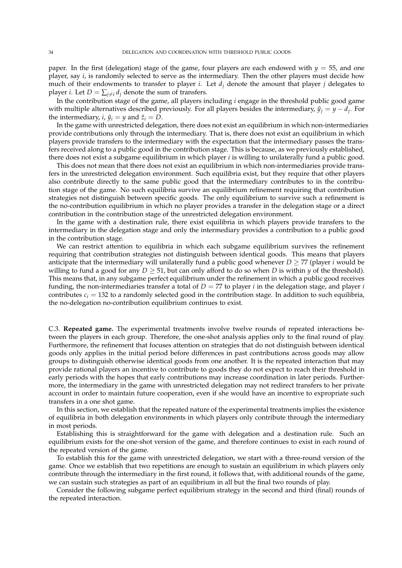paper. In the first (delegation) stage of the game, four players are each endowed with  $y = 55$ , and one player, say *i*, is randomly selected to serve as the intermediary. Then the other players must decide how much of their endowments to transfer to player *i*. Let  $d_j$  denote the amount that player *j* delegates to player *i*. Let  $D = \sum_{i \neq i} d_i$  denote the sum of transfers.

In the contribution stage of the game, all players including *i* engage in the threshold public good game with multiple alternatives described previously. For all players besides the intermediary,  $\hat{y}_j = y - d_j$ . For the intermediary, *i*,  $\hat{y}_i = y$  and  $\hat{z}_i = D$ .

In the game with unrestricted delegation, there does not exist an equilibrium in which non-intermediaries provide contributions only through the intermediary. That is, there does not exist an equilibrium in which players provide transfers to the intermediary with the expectation that the intermediary passes the transfers received along to a public good in the contribution stage. This is because, as we previously established, there does not exist a subgame equilibrium in which player *i* is willing to unilaterally fund a public good.

This does not mean that there does not exist an equilibrium in which non-intermediaries provide transfers in the unrestricted delegation environment. Such equilibria exist, but they require that other players also contribute directly to the same public good that the intermediary contributes to in the contribution stage of the game. No such equilibria survive an equilibrium refinement requiring that contribution strategies not distinguish between specific goods. The only equilibrium to survive such a refinement is the no-contribution equilibrium in which no player provides a transfer in the delegation stage or a direct contribution in the contribution stage of the unrestricted delegation environment.

In the game with a destination rule, there exist equilibria in which players provide transfers to the intermediary in the delegation stage and only the intermediary provides a contribution to a public good in the contribution stage.

We can restrict attention to equilibria in which each subgame equilibrium survives the refinement requiring that contribution strategies not distinguish between identical goods. This means that players anticipate that the intermediary will unilaterally fund a public good whenever  $D \geq 77$  (player *i* would be willing to fund a good for any  $D > 51$ , but can only afford to do so when D is within  $\gamma$  of the threshold). This means that, in any subgame perfect equilibrium under the refinement in which a public good receives funding, the non-intermediaries transfer a total of  $D = 77$  to player *i* in the delegation stage, and player *i* contributes  $c_i = 132$  to a randomly selected good in the contribution stage. In addition to such equilibria, the no-delegation no-contribution equilibrium continues to exist.

C.3. **Repeated game.** The experimental treatments involve twelve rounds of repeated interactions between the players in each group. Therefore, the one-shot analysis applies only to the final round of play. Furthermore, the refinement that focuses attention on strategies that do not distinguish between identical goods only applies in the initial period before differences in past contributions across goods may allow groups to distinguish otherwise identical goods from one another. It is the repeated interaction that may provide rational players an incentive to contribute to goods they do not expect to reach their threshold in early periods with the hopes that early contributions may increase coordination in later periods. Furthermore, the intermediary in the game with unrestricted delegation may not redirect transfers to her private account in order to maintain future cooperation, even if she would have an incentive to expropriate such transfers in a one shot game.

In this section, we establish that the repeated nature of the experimental treatments implies the existence of equilibria in both delegation environments in which players only contribute through the intermediary in most periods.

Establishing this is straightforward for the game with delegation and a destination rule. Such an equilibrium exists for the one-shot version of the game, and therefore continues to exist in each round of the repeated version of the game.

To establish this for the game with unrestricted delegation, we start with a three-round version of the game. Once we establish that two repetitions are enough to sustain an equilibrium in which players only contribute through the intermediary in the first round, it follows that, with additional rounds of the game, we can sustain such strategies as part of an equilibrium in all but the final two rounds of play.

Consider the following subgame perfect equilibrium strategy in the second and third (final) rounds of the repeated interaction.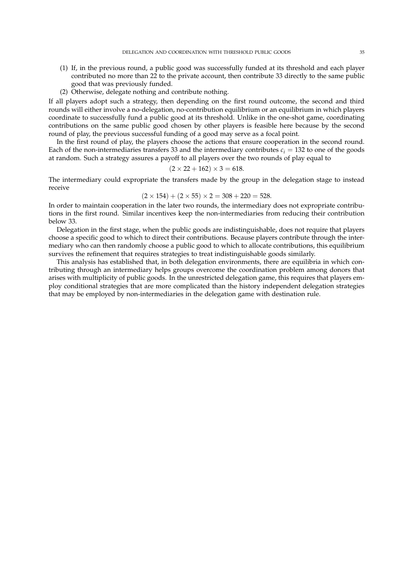- (1) If, in the previous round, a public good was successfully funded at its threshold and each player contributed no more than 22 to the private account, then contribute 33 directly to the same public good that was previously funded.
- (2) Otherwise, delegate nothing and contribute nothing.

If all players adopt such a strategy, then depending on the first round outcome, the second and third rounds will either involve a no-delegation, no-contribution equilibrium or an equilibrium in which players coordinate to successfully fund a public good at its threshold. Unlike in the one-shot game, coordinating contributions on the same public good chosen by other players is feasible here because by the second round of play, the previous successful funding of a good may serve as a focal point.

In the first round of play, the players choose the actions that ensure cooperation in the second round. Each of the non-intermediaries transfers 33 and the intermediary contributes  $c_i = 132$  to one of the goods at random. Such a strategy assures a payoff to all players over the two rounds of play equal to

$$
(2 \times 22 + 162) \times 3 = 618.
$$

The intermediary could expropriate the transfers made by the group in the delegation stage to instead receive

$$
(2 \times 154) + (2 \times 55) \times 2 = 308 + 220 = 528.
$$

In order to maintain cooperation in the later two rounds, the intermediary does not expropriate contributions in the first round. Similar incentives keep the non-intermediaries from reducing their contribution below 33.

Delegation in the first stage, when the public goods are indistinguishable, does not require that players choose a specific good to which to direct their contributions. Because players contribute through the intermediary who can then randomly choose a public good to which to allocate contributions, this equilibrium survives the refinement that requires strategies to treat indistinguishable goods similarly.

This analysis has established that, in both delegation environments, there are equilibria in which contributing through an intermediary helps groups overcome the coordination problem among donors that arises with multiplicity of public goods. In the unrestricted delegation game, this requires that players employ conditional strategies that are more complicated than the history independent delegation strategies that may be employed by non-intermediaries in the delegation game with destination rule.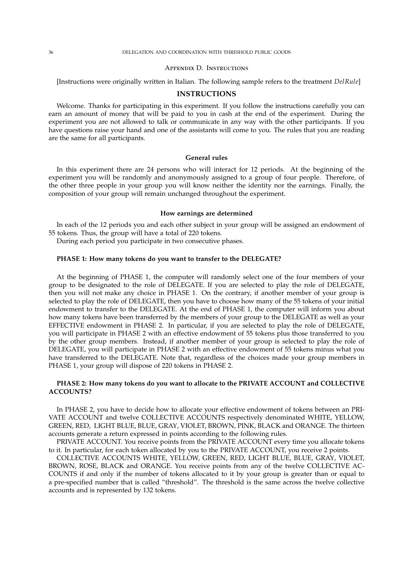#### 36 DELEGATION AND COORDINATION WITH THRESHOLD PUBLIC GOODS

#### Appendix D. Instructions

[Instructions were originally written in Italian. The following sample refers to the treatment *DelRule*]

#### **INSTRUCTIONS**

Welcome. Thanks for participating in this experiment. If you follow the instructions carefully you can earn an amount of money that will be paid to you in cash at the end of the experiment. During the experiment you are not allowed to talk or communicate in any way with the other participants. If you have questions raise your hand and one of the assistants will come to you. The rules that you are reading are the same for all participants.

#### **General rules**

In this experiment there are 24 persons who will interact for 12 periods. At the beginning of the experiment you will be randomly and anonymously assigned to a group of four people. Therefore, of the other three people in your group you will know neither the identity nor the earnings. Finally, the composition of your group will remain unchanged throughout the experiment.

#### **How earnings are determined**

In each of the 12 periods you and each other subject in your group will be assigned an endowment of 55 tokens. Thus, the group will have a total of 220 tokens.

During each period you participate in two consecutive phases.

#### **PHASE 1: How many tokens do you want to transfer to the DELEGATE?**

At the beginning of PHASE 1, the computer will randomly select one of the four members of your group to be designated to the role of DELEGATE. If you are selected to play the role of DELEGATE, then you will not make any choice in PHASE 1. On the contrary, if another member of your group is selected to play the role of DELEGATE, then you have to choose how many of the 55 tokens of your initial endowment to transfer to the DELEGATE. At the end of PHASE 1, the computer will inform you about how many tokens have been transferred by the members of your group to the DELEGATE as well as your EFFECTIVE endowment in PHASE 2. In particular, if you are selected to play the role of DELEGATE, you will participate in PHASE 2 with an effective endowment of 55 tokens plus those transferred to you by the other group members. Instead, if another member of your group is selected to play the role of DELEGATE, you will participate in PHASE 2 with an effective endowment of 55 tokens minus what you have transferred to the DELEGATE. Note that, regardless of the choices made your group members in PHASE 1, your group will dispose of 220 tokens in PHASE 2.

#### **PHASE 2: How many tokens do you want to allocate to the PRIVATE ACCOUNT and COLLECTIVE ACCOUNTS?**

In PHASE 2, you have to decide how to allocate your effective endowment of tokens between an PRI-VATE ACCOUNT and twelve COLLECTIVE ACCOUNTS respectively denominated WHITE, YELLOW, GREEN, RED, LIGHT BLUE, BLUE, GRAY, VIOLET, BROWN, PINK, BLACK and ORANGE. The thirteen accounts generate a return expressed in points according to the following rules.

PRIVATE ACCOUNT. You receive points from the PRIVATE ACCOUNT every time you allocate tokens to it. In particular, for each token allocated by you to the PRIVATE ACCOUNT, you receive 2 points.

COLLECTIVE ACCOUNTS WHITE, YELLOW, GREEN, RED, LIGHT BLUE, BLUE, GRAY, VIOLET, BROWN, ROSE, BLACK and ORANGE. You receive points from any of the twelve COLLECTIVE AC-COUNTS if and only if the number of tokens allocated to it by your group is greater than or equal to a pre-specified number that is called "threshold". The threshold is the same across the twelve collective accounts and is represented by 132 tokens.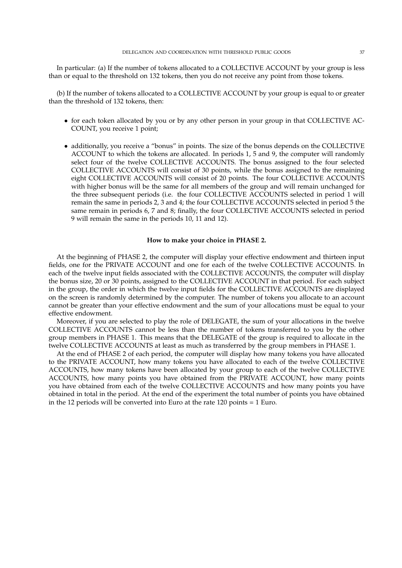In particular: (a) If the number of tokens allocated to a COLLECTIVE ACCOUNT by your group is less than or equal to the threshold on 132 tokens, then you do not receive any point from those tokens.

(b) If the number of tokens allocated to a COLLECTIVE ACCOUNT by your group is equal to or greater than the threshold of 132 tokens, then:

- for each token allocated by you or by any other person in your group in that COLLECTIVE AC-COUNT, you receive 1 point;
- additionally, you receive a "bonus" in points. The size of the bonus depends on the COLLECTIVE ACCOUNT to which the tokens are allocated. In periods 1, 5 and 9, the computer will randomly select four of the twelve COLLECTIVE ACCOUNTS. The bonus assigned to the four selected COLLECTIVE ACCOUNTS will consist of 30 points, while the bonus assigned to the remaining eight COLLECTIVE ACCOUNTS will consist of 20 points. The four COLLECTIVE ACCOUNTS with higher bonus will be the same for all members of the group and will remain unchanged for the three subsequent periods (i.e. the four COLLECTIVE ACCOUNTS selected in period 1 will remain the same in periods 2, 3 and 4; the four COLLECTIVE ACCOUNTS selected in period 5 the same remain in periods 6, 7 and 8; finally, the four COLLECTIVE ACCOUNTS selected in period 9 will remain the same in the periods 10, 11 and 12).

#### **How to make your choice in PHASE 2.**

At the beginning of PHASE 2, the computer will display your effective endowment and thirteen input fields, one for the PRIVATE ACCOUNT and one for each of the twelve COLLECTIVE ACCOUNTS. In each of the twelve input fields associated with the COLLECTIVE ACCOUNTS, the computer will display the bonus size, 20 or 30 points, assigned to the COLLECTIVE ACCOUNT in that period. For each subject in the group, the order in which the twelve input fields for the COLLECTIVE ACCOUNTS are displayed on the screen is randomly determined by the computer. The number of tokens you allocate to an account cannot be greater than your effective endowment and the sum of your allocations must be equal to your effective endowment.

Moreover, if you are selected to play the role of DELEGATE, the sum of your allocations in the twelve COLLECTIVE ACCOUNTS cannot be less than the number of tokens transferred to you by the other group members in PHASE 1. This means that the DELEGATE of the group is required to allocate in the twelve COLLECTIVE ACCOUNTS at least as much as transferred by the group members in PHASE 1.

At the end of PHASE 2 of each period, the computer will display how many tokens you have allocated to the PRIVATE ACCOUNT, how many tokens you have allocated to each of the twelve COLLECTIVE ACCOUNTS, how many tokens have been allocated by your group to each of the twelve COLLECTIVE ACCOUNTS, how many points you have obtained from the PRIVATE ACCOUNT, how many points you have obtained from each of the twelve COLLECTIVE ACCOUNTS and how many points you have obtained in total in the period. At the end of the experiment the total number of points you have obtained in the 12 periods will be converted into Euro at the rate 120 points = 1 Euro.